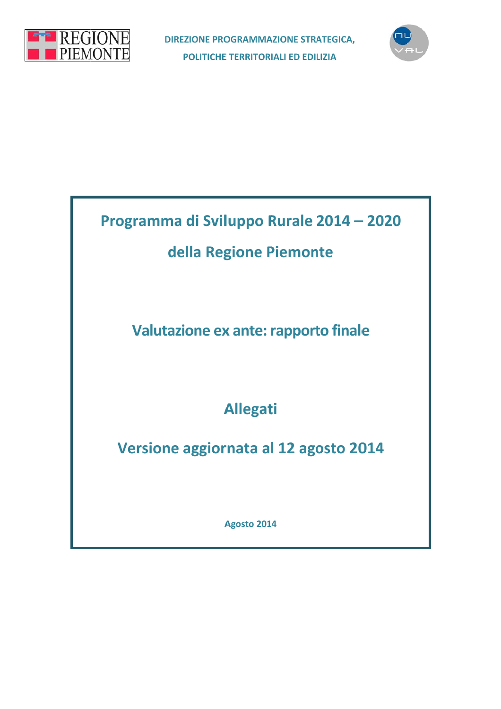



Programma di Sviluppo Rurale 2014 - 2020

# della Regione Piemonte

Valutazione ex ante: rapporto finale

**Allegati** 

Versione aggiornata al 12 agosto 2014

**Agosto 2014**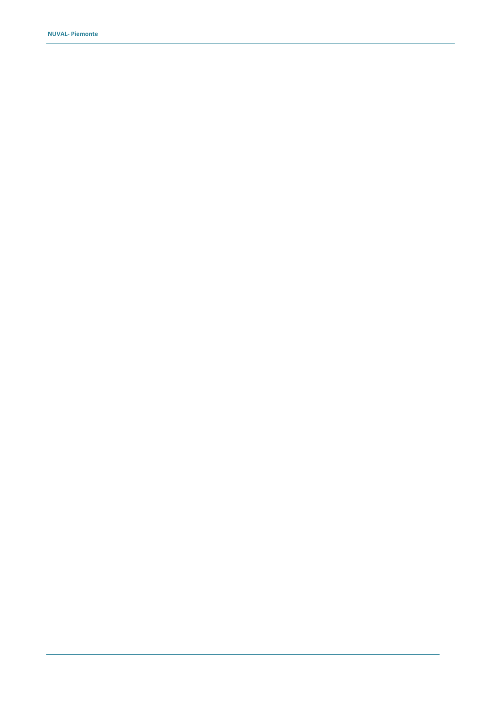**NUVAL-Piemonte**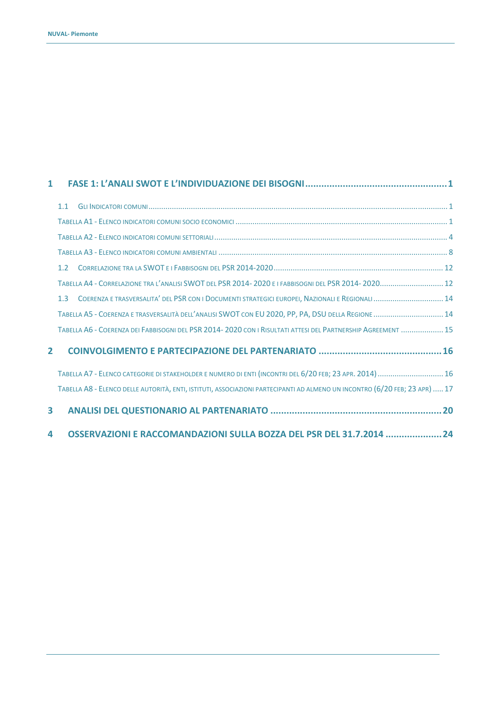| 1              |                                                                                                                            |  |
|----------------|----------------------------------------------------------------------------------------------------------------------------|--|
|                | 1.1                                                                                                                        |  |
|                |                                                                                                                            |  |
|                |                                                                                                                            |  |
|                |                                                                                                                            |  |
|                | 1.2                                                                                                                        |  |
|                | TABELLA A4 - CORRELAZIONE TRA L'ANALISI SWOT DEL PSR 2014-2020 E I FABBISOGNI DEL PSR 2014-2020 12                         |  |
|                | COERENZA E TRASVERSALITA' DEL PSR CON I DOCUMENTI STRATEGICI EUROPEI, NAZIONALI E REGIONALI  14<br>1.3                     |  |
|                | TABELLA A5 - COERENZA E TRASVERSALITÀ DELL'ANALISI SWOT CON EU 2020, PP, PA, DSU DELLA REGIONE  14                         |  |
|                | TABELLA A6 - COERENZA DEI FABBISOGNI DEL PSR 2014-2020 CON I RISULTATI ATTESI DEL PARTNERSHIP AGREEMENT  15                |  |
| $\overline{2}$ |                                                                                                                            |  |
|                | TABELLA A7 - ELENCO CATEGORIE DI STAKEHOLDER E NUMERO DI ENTI (INCONTRI DEL 6/20 FEB; 23 APR. 2014)  16                    |  |
|                | TABELLA A8 - ELENCO DELLE AUTORITÀ, ENTI, ISTITUTI, ASSOCIAZIONI PARTECIPANTI AD ALMENO UN INCONTRO (6/20 FEB; 23 APR)  17 |  |
| 3              |                                                                                                                            |  |
| 4              | OSSERVAZIONI E RACCOMANDAZIONI SULLA BOZZA DEL PSR DEL 31.7.2014  24                                                       |  |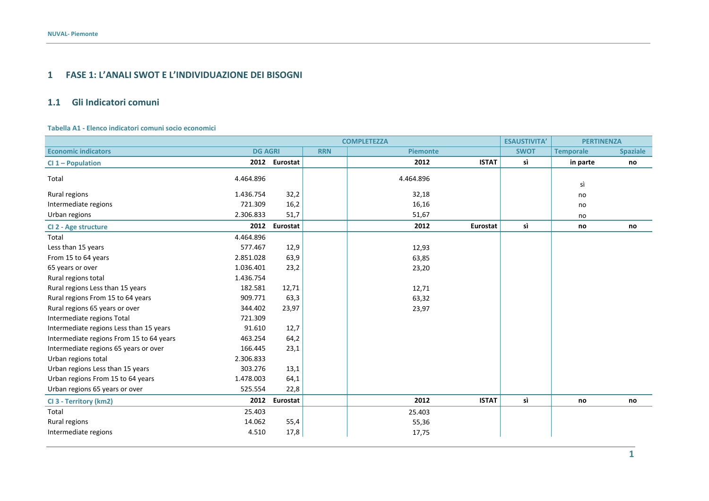## 1 FASE 1: L'ANALI SWOT E L'INDIVIDUAZIONE DEI BISOGNI

## 1.1 Gli Indicatori comuni

### Tabella A1 - Elenco indicatori comuni socio economici

|                                          | <b>ESAUSTIVITA'</b><br><b>COMPLETEZZA</b> |               |            |                 |              |             | <b>PERTINENZA</b> |                 |
|------------------------------------------|-------------------------------------------|---------------|------------|-----------------|--------------|-------------|-------------------|-----------------|
| <b>Economic indicators</b>               | <b>DG AGRI</b>                            |               | <b>RRN</b> | <b>Piemonte</b> |              | <b>SWOT</b> | <b>Temporale</b>  | <b>Spaziale</b> |
| $CI 1 - Population$                      |                                           | 2012 Eurostat |            | 2012            | <b>ISTAT</b> | sì          | in parte          | no              |
| Total                                    | 4.464.896                                 |               |            | 4.464.896       |              |             |                   |                 |
| Rural regions                            | 1.436.754                                 | 32,2          |            | 32,18           |              |             | sì                |                 |
| Intermediate regions                     | 721.309                                   | 16,2          |            | 16,16           |              |             | no<br>no          |                 |
| Urban regions                            | 2.306.833                                 | 51,7          |            | 51,67           |              |             | no                |                 |
| CI 2 - Age structure                     | 2012                                      | Eurostat      |            | 2012            | Eurostat     | sì          | no                | no              |
| Total                                    | 4.464.896                                 |               |            |                 |              |             |                   |                 |
| Less than 15 years                       | 577.467                                   | 12,9          |            | 12,93           |              |             |                   |                 |
| From 15 to 64 years                      | 2.851.028                                 | 63,9          |            | 63,85           |              |             |                   |                 |
| 65 years or over                         | 1.036.401                                 | 23,2          |            | 23,20           |              |             |                   |                 |
| Rural regions total                      | 1.436.754                                 |               |            |                 |              |             |                   |                 |
| Rural regions Less than 15 years         | 182.581                                   | 12,71         |            | 12,71           |              |             |                   |                 |
| Rural regions From 15 to 64 years        | 909.771                                   | 63,3          |            | 63,32           |              |             |                   |                 |
| Rural regions 65 years or over           | 344.402                                   | 23,97         |            | 23,97           |              |             |                   |                 |
| Intermediate regions Total               | 721.309                                   |               |            |                 |              |             |                   |                 |
| Intermediate regions Less than 15 years  | 91.610                                    | 12,7          |            |                 |              |             |                   |                 |
| Intermediate regions From 15 to 64 years | 463.254                                   | 64,2          |            |                 |              |             |                   |                 |
| Intermediate regions 65 years or over    | 166.445                                   | 23,1          |            |                 |              |             |                   |                 |
| Urban regions total                      | 2.306.833                                 |               |            |                 |              |             |                   |                 |
| Urban regions Less than 15 years         | 303.276                                   | 13,1          |            |                 |              |             |                   |                 |
| Urban regions From 15 to 64 years        | 1.478.003                                 | 64,1          |            |                 |              |             |                   |                 |
| Urban regions 65 years or over           | 525.554                                   | 22,8          |            |                 |              |             |                   |                 |
| CI 3 - Territory (km2)                   | 2012                                      | Eurostat      |            | 2012            | <b>ISTAT</b> | sì          | no                | no              |
| Total                                    | 25.403                                    |               |            | 25.403          |              |             |                   |                 |
| Rural regions                            | 14.062                                    | 55,4          |            | 55,36           |              |             |                   |                 |
| Intermediate regions                     | 4.510                                     | 17,8          |            | 17,75           |              |             |                   |                 |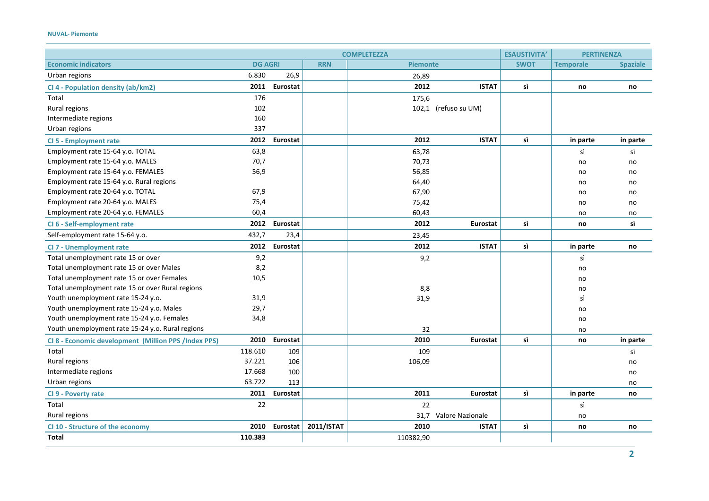### **NUVAL-Piemonte**

|                                                      |                |          |            | <b>COMPLETEZZA</b> |                      | <b>ESAUSTIVITA'</b> | <b>PERTINENZA</b> |                 |
|------------------------------------------------------|----------------|----------|------------|--------------------|----------------------|---------------------|-------------------|-----------------|
| <b>Economic indicators</b>                           | <b>DG AGRI</b> |          | <b>RRN</b> | <b>Piemonte</b>    |                      | <b>SWOT</b>         | <b>Temporale</b>  | <b>Spaziale</b> |
| Urban regions                                        | 6.830          | 26,9     |            | 26,89              |                      |                     |                   |                 |
| CI 4 - Population density (ab/km2)                   | 2011           | Eurostat |            | 2012               | <b>ISTAT</b>         | sì                  | no                | no              |
| Total                                                | 176            |          |            | 175,6              |                      |                     |                   |                 |
| Rural regions                                        | 102            |          |            |                    | 102,1 (refuso su UM) |                     |                   |                 |
| Intermediate regions                                 | 160            |          |            |                    |                      |                     |                   |                 |
| Urban regions                                        | 337            |          |            |                    |                      |                     |                   |                 |
| <b>CI 5 - Employment rate</b>                        | 2012           | Eurostat |            | 2012               | <b>ISTAT</b>         | sì                  | in parte          | in parte        |
| Employment rate 15-64 y.o. TOTAL                     | 63,8           |          |            | 63,78              |                      |                     | sì                | sì              |
| Employment rate 15-64 y.o. MALES                     | 70,7           |          |            | 70,73              |                      |                     | no                | no              |
| Employment rate 15-64 y.o. FEMALES                   | 56,9           |          |            | 56,85              |                      |                     | no                | no              |
| Employment rate 15-64 y.o. Rural regions             |                |          |            | 64,40              |                      |                     | no                | no              |
| Employment rate 20-64 y.o. TOTAL                     | 67,9           |          |            | 67,90              |                      |                     | no                | no              |
| Employment rate 20-64 y.o. MALES                     | 75,4           |          |            | 75,42              |                      |                     | no                | no              |
| Employment rate 20-64 y.o. FEMALES                   | 60,4           |          |            | 60,43              |                      |                     | no                | no              |
| CI 6 - Self-employment rate                          | 2012           | Eurostat |            | 2012               | Eurostat             | sì                  | no                | sì              |
| Self-employment rate 15-64 y.o.                      | 432,7          | 23,4     |            | 23,45              |                      |                     |                   |                 |
| CI 7 - Unemployment rate                             | 2012           | Eurostat |            | 2012               | <b>ISTAT</b>         | sì                  | in parte          | no              |
| Total unemployment rate 15 or over                   | 9,2            |          |            | 9,2                |                      |                     | sì                |                 |
| Total unemployment rate 15 or over Males             | 8,2            |          |            |                    |                      |                     | no                |                 |
| Total unemployment rate 15 or over Females           | 10,5           |          |            |                    |                      |                     | no                |                 |
| Total unemployment rate 15 or over Rural regions     |                |          |            | 8,8                |                      |                     | no                |                 |
| Youth unemployment rate 15-24 y.o.                   | 31,9           |          |            | 31,9               |                      |                     | sì                |                 |
| Youth unemployment rate 15-24 y.o. Males             | 29,7           |          |            |                    |                      |                     | no                |                 |
| Youth unemployment rate 15-24 y.o. Females           | 34,8           |          |            |                    |                      |                     | no                |                 |
| Youth unemployment rate 15-24 y.o. Rural regions     |                |          |            | 32                 |                      |                     | no                |                 |
| CI 8 - Economic development (Million PPS /Index PPS) | 2010           | Eurostat |            | 2010               | Eurostat             | sì                  | no                | in parte        |
| Total                                                | 118.610        | 109      |            | 109                |                      |                     |                   | sì              |
| Rural regions                                        | 37.221         | 106      |            | 106,09             |                      |                     |                   | no              |
| Intermediate regions                                 | 17.668         | 100      |            |                    |                      |                     |                   | no              |
| Urban regions                                        | 63.722         | 113      |            |                    |                      |                     |                   | no              |
| CI 9 - Poverty rate                                  | 2011           | Eurostat |            | 2011               | Eurostat             | sì                  | in parte          | no              |
| Total                                                | 22             |          |            | 22                 |                      |                     | sì                |                 |
| Rural regions                                        |                |          |            | 31,7               | Valore Nazionale     |                     | no                |                 |
| CI 10 - Structure of the economy                     | 2010           | Eurostat | 2011/ISTAT | 2010               | <b>ISTAT</b>         | sì                  | no                | no              |
| <b>Total</b>                                         | 110.383        |          |            | 110382,90          |                      |                     |                   |                 |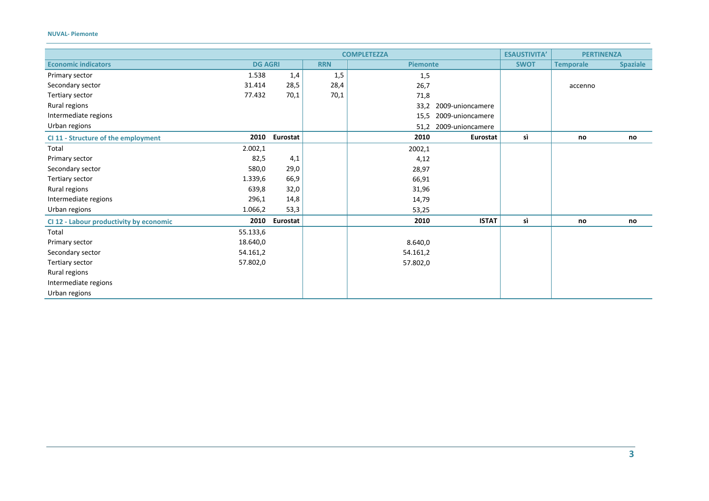|                                         | <b>ESAUSTIVITA'</b> | <b>PERTINENZA</b> |            |                 |                  |             |                  |                 |
|-----------------------------------------|---------------------|-------------------|------------|-----------------|------------------|-------------|------------------|-----------------|
| <b>Economic indicators</b>              | <b>DG AGRI</b>      |                   | <b>RRN</b> | <b>Piemonte</b> |                  | <b>SWOT</b> | <b>Temporale</b> | <b>Spaziale</b> |
| Primary sector                          | 1.538               | 1,4               | 1,5        | 1,5             |                  |             |                  |                 |
| Secondary sector                        | 31.414              | 28,5              | 28,4       | 26,7            |                  |             | accenno          |                 |
| Tertiary sector                         | 77.432              | 70,1              | 70,1       | 71,8            |                  |             |                  |                 |
| Rural regions                           |                     |                   |            | 33,2            | 2009-unioncamere |             |                  |                 |
| Intermediate regions                    |                     |                   |            | 15,5            | 2009-unioncamere |             |                  |                 |
| Urban regions                           |                     |                   |            | 51,2            | 2009-unioncamere |             |                  |                 |
| CI 11 - Structure of the employment     | 2010                | Eurostat          |            | 2010            | Eurostat         | sì          | no               | no              |
| Total                                   | 2.002,1             |                   |            | 2002,1          |                  |             |                  |                 |
| Primary sector                          | 82,5                | 4,1               |            | 4,12            |                  |             |                  |                 |
| Secondary sector                        | 580,0               | 29,0              |            | 28,97           |                  |             |                  |                 |
| Tertiary sector                         | 1.339,6             | 66,9              |            | 66,91           |                  |             |                  |                 |
| Rural regions                           | 639,8               | 32,0              |            | 31,96           |                  |             |                  |                 |
| Intermediate regions                    | 296,1               | 14,8              |            | 14,79           |                  |             |                  |                 |
| Urban regions                           | 1.066,2             | 53,3              |            | 53,25           |                  |             |                  |                 |
| CI 12 - Labour productivity by economic | 2010                | Eurostat          |            | 2010            | <b>ISTAT</b>     | sì          | no               | no              |
| Total                                   | 55.133,6            |                   |            |                 |                  |             |                  |                 |
| Primary sector                          | 18.640,0            |                   |            | 8.640,0         |                  |             |                  |                 |
| Secondary sector                        | 54.161,2            |                   |            | 54.161,2        |                  |             |                  |                 |
| Tertiary sector                         | 57.802,0            |                   |            | 57.802,0        |                  |             |                  |                 |
| Rural regions                           |                     |                   |            |                 |                  |             |                  |                 |
| Intermediate regions                    |                     |                   |            |                 |                  |             |                  |                 |
| Urban regions                           |                     |                   |            |                 |                  |             |                  |                 |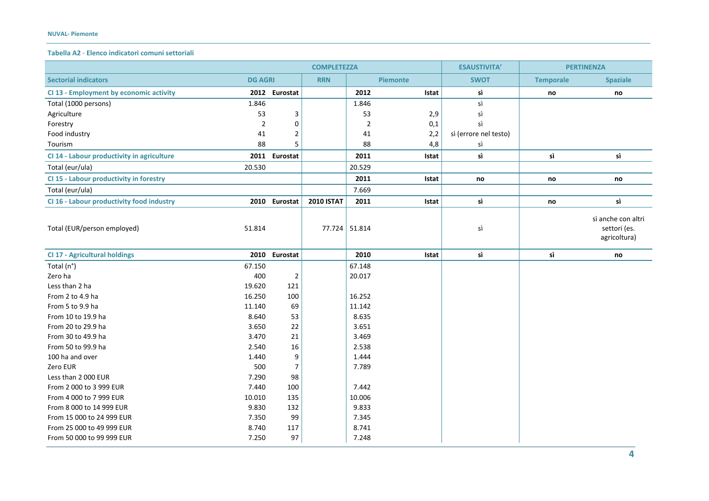### **Tabella A2** ‐ **Elenco indicatori comuni settoriali**

|                                                        |                | <b>ESAUSTIVITA'</b> | <b>PERTINENZA</b> |                |                 |                       |                  |                                                    |
|--------------------------------------------------------|----------------|---------------------|-------------------|----------------|-----------------|-----------------------|------------------|----------------------------------------------------|
| <b>Sectorial indicators</b>                            | <b>DG AGRI</b> |                     | <b>RRN</b>        |                | <b>Piemonte</b> | <b>SWOT</b>           | <b>Temporale</b> | <b>Spaziale</b>                                    |
| CI 13 - Employment by economic activity                |                | 2012 Eurostat       |                   | 2012           | Istat           | sì                    | no               | no                                                 |
| Total (1000 persons)                                   | 1.846          |                     |                   | 1.846          |                 | sì                    |                  |                                                    |
| Agriculture                                            | 53             | 3                   |                   | 53             | 2,9             | sì                    |                  |                                                    |
| Forestry                                               | $\overline{2}$ | 0                   |                   | $\overline{2}$ | 0,1             | sì                    |                  |                                                    |
| Food industry                                          | 41             | $\overline{2}$      |                   | 41             | 2,2             | sì (errore nel testo) |                  |                                                    |
| Tourism                                                | 88             | 5                   |                   | 88             | 4,8             | sì                    |                  |                                                    |
| CI 14 - Labour productivity in agriculture             |                | 2011 Eurostat       |                   | 2011           | Istat           | sì                    | sì               | sì                                                 |
| Total (eur/ula)                                        | 20.530         |                     |                   | 20.529         |                 |                       |                  |                                                    |
| CI 15 - Labour productivity in forestry                |                |                     |                   | 2011           | Istat           | no                    | no               | no                                                 |
| Total (eur/ula)                                        |                |                     |                   | 7.669          |                 |                       |                  |                                                    |
| CI 16 - Labour productivity food industry              |                | 2010 Eurostat       | <b>2010 ISTAT</b> | 2011           | Istat           | sì                    | no               | sì                                                 |
| Total (EUR/person employed)                            | 51.814         |                     | 77.724 51.814     |                |                 | sì                    |                  | sì anche con altri<br>settori (es.<br>agricoltura) |
| <b>CI 17 - Agricultural holdings</b>                   |                | 2010 Eurostat       |                   | 2010           | Istat           | sì                    | sì               | no                                                 |
| Total (n°)                                             | 67.150         |                     |                   | 67.148         |                 |                       |                  |                                                    |
| Zero ha                                                | 400            | $\overline{2}$      |                   | 20.017         |                 |                       |                  |                                                    |
| Less than 2 ha                                         | 19.620         | 121                 |                   |                |                 |                       |                  |                                                    |
| From 2 to 4.9 ha                                       | 16.250         | 100                 |                   | 16.252         |                 |                       |                  |                                                    |
| From 5 to 9.9 ha                                       | 11.140         | 69                  |                   | 11.142         |                 |                       |                  |                                                    |
| From 10 to 19.9 ha                                     | 8.640          | 53                  |                   | 8.635          |                 |                       |                  |                                                    |
| From 20 to 29.9 ha                                     | 3.650          | 22                  |                   | 3.651          |                 |                       |                  |                                                    |
| From 30 to 49.9 ha                                     | 3.470          | 21                  |                   | 3.469          |                 |                       |                  |                                                    |
| From 50 to 99.9 ha                                     | 2.540          | 16                  |                   | 2.538          |                 |                       |                  |                                                    |
| 100 ha and over                                        | 1.440          | 9                   |                   | 1.444          |                 |                       |                  |                                                    |
| Zero EUR                                               | 500            | $\overline{7}$      |                   | 7.789          |                 |                       |                  |                                                    |
| Less than 2 000 EUR                                    | 7.290          | 98                  |                   |                |                 |                       |                  |                                                    |
| From 2 000 to 3 999 EUR                                | 7.440          | 100                 |                   | 7.442          |                 |                       |                  |                                                    |
| From 4 000 to 7 999 EUR                                | 10.010         | 135                 |                   | 10.006         |                 |                       |                  |                                                    |
| From 8 000 to 14 999 EUR                               | 9.830          | 132                 |                   | 9.833          |                 |                       |                  |                                                    |
| From 15 000 to 24 999 EUR<br>From 25 000 to 49 999 EUR | 7.350<br>8.740 | 99<br>117           |                   | 7.345<br>8.741 |                 |                       |                  |                                                    |
| From 50 000 to 99 999 EUR                              | 7.250          | 97                  |                   | 7.248          |                 |                       |                  |                                                    |
|                                                        |                |                     |                   |                |                 |                       |                  |                                                    |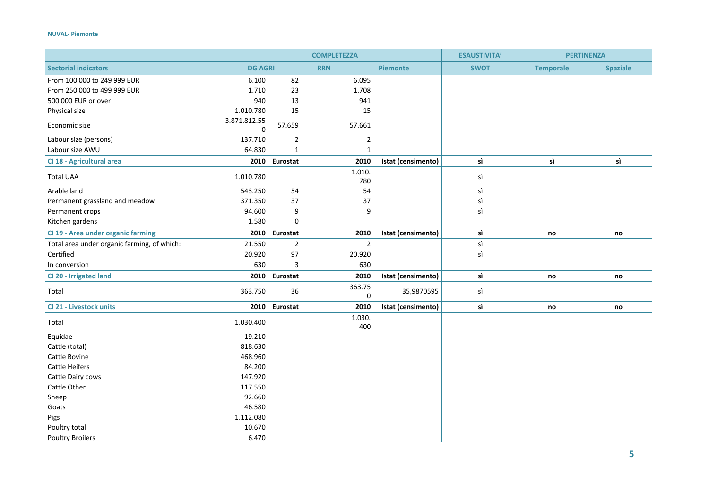### **NUVAL-Piemonte**

|                                             |                             |                 | <b>COMPLETEZZA</b> |                       |                    | <b>ESAUSTIVITA'</b> |                  | <b>PERTINENZA</b> |
|---------------------------------------------|-----------------------------|-----------------|--------------------|-----------------------|--------------------|---------------------|------------------|-------------------|
| <b>Sectorial indicators</b>                 | <b>DG AGRI</b>              |                 | <b>RRN</b>         |                       | <b>Piemonte</b>    | <b>SWOT</b>         | <b>Temporale</b> | <b>Spaziale</b>   |
| From 100 000 to 249 999 EUR                 | 6.100                       | 82              |                    | 6.095                 |                    |                     |                  |                   |
| From 250 000 to 499 999 EUR                 | 1.710                       | 23              |                    | 1.708                 |                    |                     |                  |                   |
| 500 000 EUR or over                         | 940                         | 13              |                    | 941                   |                    |                     |                  |                   |
| Physical size                               | 1.010.780                   | 15              |                    | 15                    |                    |                     |                  |                   |
| Economic size                               | 3.871.812.55<br>$\mathbf 0$ | 57.659          |                    | 57.661                |                    |                     |                  |                   |
| Labour size (persons)                       | 137.710                     | 2               |                    | $\overline{2}$        |                    |                     |                  |                   |
| Labour size AWU                             | 64.830                      | $\mathbf{1}$    |                    | $\mathbf{1}$          |                    |                     |                  |                   |
| CI 18 - Agricultural area                   |                             | 2010 Eurostat   |                    | 2010                  | Istat (censimento) | sì                  | sì               | sì                |
| <b>Total UAA</b>                            | 1.010.780                   |                 |                    | 1.010.<br>780         |                    | sì                  |                  |                   |
| Arable land                                 | 543.250                     | 54              |                    | 54                    |                    | sì                  |                  |                   |
| Permanent grassland and meadow              | 371.350                     | 37              |                    | 37                    |                    | sì                  |                  |                   |
| Permanent crops                             | 94.600                      | 9               |                    | 9                     |                    | sì                  |                  |                   |
| Kitchen gardens                             | 1.580                       | 0               |                    |                       |                    |                     |                  |                   |
| CI 19 - Area under organic farming          | 2010                        | <b>Eurostat</b> |                    | 2010                  | Istat (censimento) | sì                  | no               | no                |
| Total area under organic farming, of which: | 21.550                      | $\overline{2}$  |                    | $\overline{2}$        |                    | sì                  |                  |                   |
| Certified                                   | 20.920                      | 97              |                    | 20.920                |                    | sì                  |                  |                   |
| In conversion                               | 630                         | 3               |                    | 630                   |                    |                     |                  |                   |
| CI 20 - Irrigated land                      | 2010                        | Eurostat        |                    | 2010                  | Istat (censimento) | sì                  | no               | no                |
| Total                                       | 363.750                     | 36              |                    | 363.75<br>$\mathbf 0$ | 35,9870595         | sì                  |                  |                   |
| CI 21 - Livestock units                     |                             | 2010 Eurostat   |                    | 2010                  | Istat (censimento) | sì                  | no               | no                |
| Total                                       | 1.030.400                   |                 |                    | 1.030.<br>400         |                    |                     |                  |                   |
| Equidae                                     | 19.210                      |                 |                    |                       |                    |                     |                  |                   |
| Cattle (total)                              | 818.630                     |                 |                    |                       |                    |                     |                  |                   |
| Cattle Bovine                               | 468.960                     |                 |                    |                       |                    |                     |                  |                   |
| <b>Cattle Heifers</b>                       | 84.200                      |                 |                    |                       |                    |                     |                  |                   |
| Cattle Dairy cows                           | 147.920                     |                 |                    |                       |                    |                     |                  |                   |
| Cattle Other                                | 117.550                     |                 |                    |                       |                    |                     |                  |                   |
| Sheep                                       | 92.660                      |                 |                    |                       |                    |                     |                  |                   |
| Goats                                       | 46.580                      |                 |                    |                       |                    |                     |                  |                   |
| Pigs                                        | 1.112.080                   |                 |                    |                       |                    |                     |                  |                   |
| Poultry total                               | 10.670                      |                 |                    |                       |                    |                     |                  |                   |
| <b>Poultry Broilers</b>                     | 6.470                       |                 |                    |                       |                    |                     |                  |                   |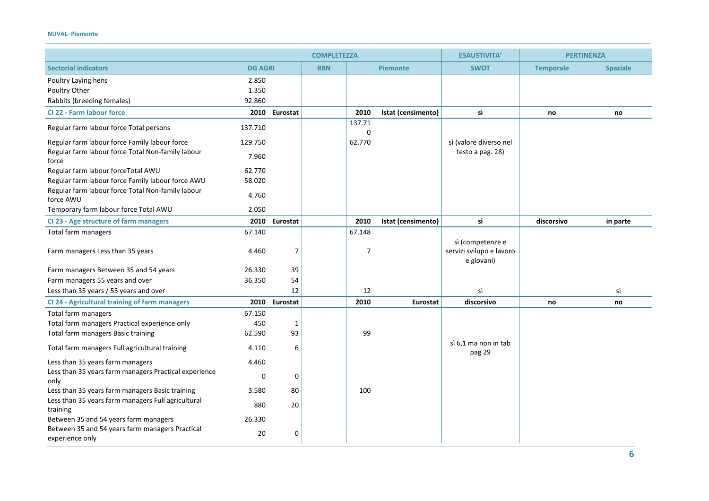|                                                                                                                                                           | <b>ESAUSTIVITA'</b><br><b>COMPLETEZZA</b> |                 |            |             |                    |                                                            |                  |                 |  |
|-----------------------------------------------------------------------------------------------------------------------------------------------------------|-------------------------------------------|-----------------|------------|-------------|--------------------|------------------------------------------------------------|------------------|-----------------|--|
| <b>Sectorial indicators</b>                                                                                                                               | <b>DG AGRI</b>                            |                 | <b>RRN</b> |             | <b>Piemonte</b>    | <b>SWOT</b>                                                | <b>Temporale</b> | <b>Spaziale</b> |  |
| Poultry Laying hens<br>Poultry Other<br>Rabbits (breeding females)                                                                                        | 2.850<br>1.350<br>92.860                  |                 |            |             |                    |                                                            |                  |                 |  |
| <b>CI 22 - Farm labour force</b>                                                                                                                          |                                           | 2010 Eurostat   |            | 2010        | Istat (censimento) | sì                                                         | no               | no              |  |
| Regular farm labour force Total persons                                                                                                                   | 137.710                                   |                 |            | 137.71<br>0 |                    |                                                            |                  |                 |  |
| Regular farm labour force Family labour force<br>Regular farm labour force Total Non-family labour<br>force                                               | 129.750<br>7.960                          |                 |            | 62.770      |                    | sì (valore diverso nel<br>testo a pag. 28)                 |                  |                 |  |
| Regular farm labour forceTotal AWU<br>Regular farm labour force Family labour force AWU<br>Regular farm labour force Total Non-family labour<br>force AWU | 62.770<br>58.020<br>4.760                 |                 |            |             |                    |                                                            |                  |                 |  |
| Temporary farm labour force Total AWU                                                                                                                     | 2.050                                     |                 |            |             |                    |                                                            |                  |                 |  |
| CI 23 - Age structure of farm managers                                                                                                                    |                                           | 2010 Eurostat   |            | 2010        | Istat (censimento) | sì                                                         | discorsivo       | in parte        |  |
| Total farm managers<br>Farm managers Less than 35 years                                                                                                   | 67.140<br>4.460                           | 7               |            | 67.148<br>7 |                    | sì (competenze e<br>servizi svilupo e lavoro<br>e giovani) |                  |                 |  |
| Farm managers Between 35 and 54 years<br>Farm managers 55 years and over                                                                                  | 26.330<br>36.350                          | 39<br>54        |            |             |                    |                                                            |                  |                 |  |
| Less than 35 years / 55 years and over                                                                                                                    |                                           | 12              |            | 12          |                    | sì                                                         |                  | sì              |  |
| CI 24 - Agricultural training of farm managers                                                                                                            | 2010                                      | <b>Eurostat</b> |            | 2010        | Eurostat           | discorsivo                                                 | no               | no              |  |
| Total farm managers<br>Total farm managers Practical experience only<br>Total farm managers Basic training                                                | 67.150<br>450<br>62.590                   | 1<br>93         |            | 99          |                    |                                                            |                  |                 |  |
| Total farm managers Full agricultural training                                                                                                            | 4.110                                     | 6               |            |             |                    | sì 6,1 ma non in tab<br>pag 29                             |                  |                 |  |
| Less than 35 years farm managers<br>Less than 35 years farm managers Practical experience<br>only                                                         | 4.460<br>0                                | 0               |            |             |                    |                                                            |                  |                 |  |
| Less than 35 years farm managers Basic training<br>Less than 35 years farm managers Full agricultural<br>training                                         | 3.580<br>880                              | 80<br>$20\,$    |            | 100         |                    |                                                            |                  |                 |  |
| Between 35 and 54 years farm managers<br>Between 35 and 54 years farm managers Practical<br>experience only                                               | 26.330<br>20                              | 0               |            |             |                    |                                                            |                  |                 |  |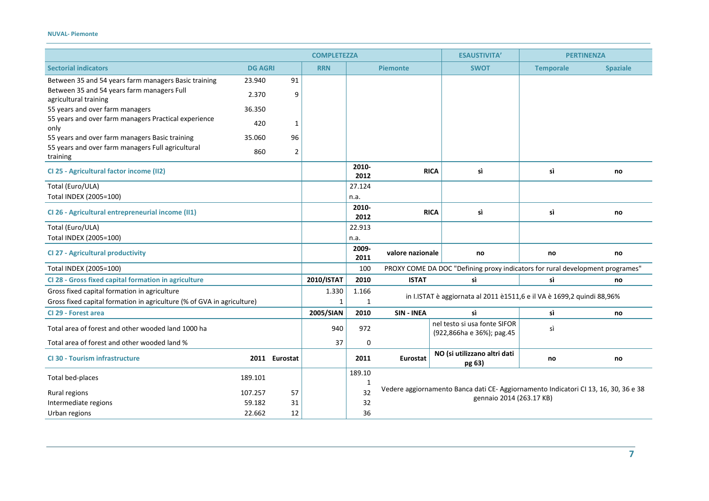### **NUVAL-Piemonte**

|                                                                        |                |                | <b>COMPLETEZZA</b> |                 |                                                                               | <b>ESAUSTIVITA'</b>                                                                 |                 | <b>PERTINENZA</b> |  |
|------------------------------------------------------------------------|----------------|----------------|--------------------|-----------------|-------------------------------------------------------------------------------|-------------------------------------------------------------------------------------|-----------------|-------------------|--|
| <b>Sectorial indicators</b>                                            | <b>DG AGRI</b> | <b>RRN</b>     |                    | <b>Piemonte</b> | <b>SWOT</b>                                                                   | <b>Temporale</b>                                                                    | <b>Spaziale</b> |                   |  |
| Between 35 and 54 years farm managers Basic training                   | 23.940         | 91             |                    |                 |                                                                               |                                                                                     |                 |                   |  |
| Between 35 and 54 years farm managers Full<br>agricultural training    | 2.370          | 9              |                    |                 |                                                                               |                                                                                     |                 |                   |  |
| 55 years and over farm managers                                        | 36.350         |                |                    |                 |                                                                               |                                                                                     |                 |                   |  |
| 55 years and over farm managers Practical experience                   |                |                |                    |                 |                                                                               |                                                                                     |                 |                   |  |
| only                                                                   | 420            | 1              |                    |                 |                                                                               |                                                                                     |                 |                   |  |
| 55 years and over farm managers Basic training                         | 35.060         | 96             |                    |                 |                                                                               |                                                                                     |                 |                   |  |
| 55 years and over farm managers Full agricultural<br>training          | 860            | $\overline{2}$ |                    |                 |                                                                               |                                                                                     |                 |                   |  |
| CI 25 - Agricultural factor income (II2)                               |                |                |                    | 2010-<br>2012   |                                                                               | <b>RICA</b><br>sì                                                                   | sì              | no                |  |
| Total (Euro/ULA)                                                       |                |                |                    | 27.124          |                                                                               |                                                                                     |                 |                   |  |
| Total INDEX (2005=100)                                                 |                |                |                    | n.a.            |                                                                               |                                                                                     |                 |                   |  |
| CI 26 - Agricultural entrepreneurial income (II1)                      |                |                |                    | 2010-<br>2012   |                                                                               | <b>RICA</b><br>sì                                                                   | sì              | no                |  |
| Total (Euro/ULA)                                                       |                |                |                    | 22.913          |                                                                               |                                                                                     |                 |                   |  |
| Total INDEX (2005=100)                                                 |                |                |                    | n.a.            |                                                                               |                                                                                     |                 |                   |  |
| CI 27 - Agricultural productivity                                      |                |                |                    | 2009-<br>2011   | valore nazionale                                                              | no                                                                                  | no              | no                |  |
| Total INDEX (2005=100)                                                 |                |                |                    | 100             | PROXY COME DA DOC "Defining proxy indicators for rural development programes" |                                                                                     |                 |                   |  |
| CI 28 - Gross fixed capital formation in agriculture                   |                |                | 2010/ISTAT         | 2010            | <b>ISTAT</b>                                                                  | sì                                                                                  | sì              | no                |  |
| Gross fixed capital formation in agriculture                           |                |                | 1.330              | 1.166           |                                                                               | in I.ISTAT è aggiornata al 2011 è 1511,6 e il VA è 1699,2 quindi 88,96%             |                 |                   |  |
| Gross fixed capital formation in agriculture (% of GVA in agriculture) |                |                | 1                  | $\mathbf{1}$    |                                                                               |                                                                                     |                 |                   |  |
| CI 29 - Forest area                                                    |                |                | 2005/SIAN          | 2010            | SIN - INEA                                                                    | sì                                                                                  | sì              | no                |  |
| Total area of forest and other wooded land 1000 ha                     |                |                | 940                | 972             |                                                                               | nel testo si usa fonte SIFOR<br>(922,866ha e 36%); pag.45                           | sì              |                   |  |
| Total area of forest and other wooded land %                           |                |                | 37                 | $\mathbf 0$     |                                                                               |                                                                                     |                 |                   |  |
| <b>CI 30 - Tourism infrastructure</b>                                  |                | 2011 Eurostat  |                    | 2011            | <b>Eurostat</b>                                                               | NO (si utilizzano altri dati<br>pg 63)                                              | no              | no                |  |
| Total bed-places<br>189.101                                            |                |                |                    | 189.10<br>1     |                                                                               |                                                                                     |                 |                   |  |
| Rural regions<br>107.257<br>57                                         |                |                |                    | 32              |                                                                               | Vedere aggiornamento Banca dati CE- Aggiornamento Indicatori CI 13, 16, 30, 36 e 38 |                 |                   |  |
| Intermediate regions                                                   | 59.182         | 31             |                    | 32              |                                                                               | gennaio 2014 (263.17 KB)                                                            |                 |                   |  |
| Urban regions                                                          | 22.662         | 12             |                    | 36              |                                                                               |                                                                                     |                 |                   |  |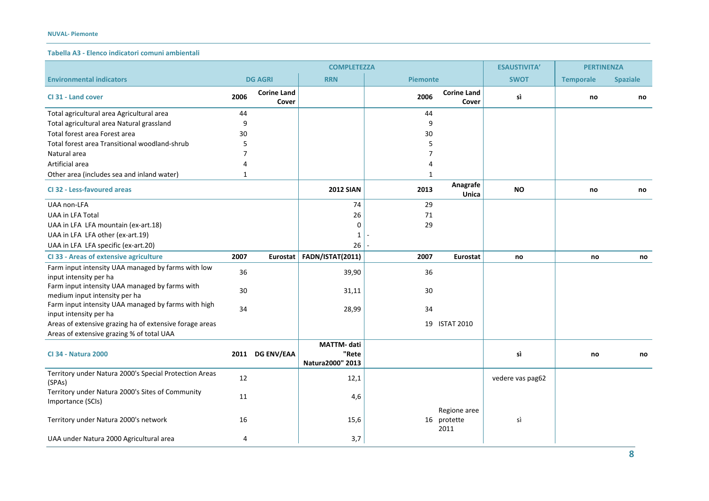### **Tabella A3 ‐ Elenco indicatori comuni ambientali**

|                                                                                 | <b>COMPLETEZZA</b> |                             |                                                 |                 |                                     |                  |                  |                 |  |
|---------------------------------------------------------------------------------|--------------------|-----------------------------|-------------------------------------------------|-----------------|-------------------------------------|------------------|------------------|-----------------|--|
| <b>Environmental indicators</b>                                                 |                    | <b>DG AGRI</b>              | <b>RRN</b>                                      | <b>Piemonte</b> |                                     | <b>SWOT</b>      | <b>Temporale</b> | <b>Spaziale</b> |  |
| CI 31 - Land cover                                                              | 2006               | <b>Corine Land</b><br>Cover |                                                 | 2006            | <b>Corine Land</b><br>Cover         | sì               | no               | no              |  |
| Total agricultural area Agricultural area                                       | 44                 |                             |                                                 | 44              |                                     |                  |                  |                 |  |
| Total agricultural area Natural grassland                                       | 9                  |                             |                                                 | 9               |                                     |                  |                  |                 |  |
| Total forest area Forest area                                                   | 30                 |                             |                                                 | 30              |                                     |                  |                  |                 |  |
| Total forest area Transitional woodland-shrub                                   | 5                  |                             |                                                 | 5               |                                     |                  |                  |                 |  |
| Natural area                                                                    | 7                  |                             |                                                 |                 |                                     |                  |                  |                 |  |
| Artificial area                                                                 | 4                  |                             |                                                 |                 |                                     |                  |                  |                 |  |
| Other area (includes sea and inland water)                                      | 1                  |                             |                                                 | 1               |                                     |                  |                  |                 |  |
| <b>CI 32 - Less-favoured areas</b>                                              |                    |                             | <b>2012 SIAN</b>                                | 2013            | Anagrafe<br>Unica                   | <b>NO</b>        | no               | no              |  |
| UAA non-LFA                                                                     |                    |                             | 74                                              | 29              |                                     |                  |                  |                 |  |
| UAA in LFA Total                                                                |                    |                             | 26                                              | 71              |                                     |                  |                  |                 |  |
| UAA in LFA LFA mountain (ex-art.18)                                             |                    |                             | 0                                               | 29              |                                     |                  |                  |                 |  |
| UAA in LFA LFA other (ex-art.19)                                                |                    |                             | $\mathbf{1}$                                    |                 |                                     |                  |                  |                 |  |
| UAA in LFA LFA specific (ex-art.20)                                             |                    |                             | 26                                              |                 |                                     |                  |                  |                 |  |
| CI 33 - Areas of extensive agriculture                                          | 2007               | Eurostat                    | FADN/ISTAT(2011)                                | 2007            | Eurostat                            | no               | no               | no              |  |
| Farm input intensity UAA managed by farms with low<br>input intensity per ha    | 36                 |                             | 39,90                                           | 36              |                                     |                  |                  |                 |  |
| Farm input intensity UAA managed by farms with<br>medium input intensity per ha | 30                 |                             | 31,11                                           | $30\,$          |                                     |                  |                  |                 |  |
| Farm input intensity UAA managed by farms with high<br>input intensity per ha   | 34                 |                             | 28,99                                           | 34              |                                     |                  |                  |                 |  |
| Areas of extensive grazing ha of extensive forage areas                         |                    |                             |                                                 |                 | 19 ISTAT 2010                       |                  |                  |                 |  |
| Areas of extensive grazing % of total UAA                                       |                    |                             |                                                 |                 |                                     |                  |                  |                 |  |
| <b>Cl 34 - Natura 2000</b>                                                      |                    | 2011 DG ENV/EAA             | <b>MATTM- dati</b><br>"Rete<br>Natura2000" 2013 |                 |                                     | sì               | no               | no              |  |
| Territory under Natura 2000's Special Protection Areas<br>(SPAs)                | 12                 |                             | 12,1                                            |                 |                                     | vedere vas pag62 |                  |                 |  |
| Territory under Natura 2000's Sites of Community<br>Importance (SCIs)           | 11                 |                             | 4,6                                             |                 |                                     |                  |                  |                 |  |
| Territory under Natura 2000's network                                           | 16                 |                             | 15,6                                            |                 | Regione aree<br>16 protette<br>2011 | sì               |                  |                 |  |
| UAA under Natura 2000 Agricultural area                                         | 4                  |                             | 3,7                                             |                 |                                     |                  |                  |                 |  |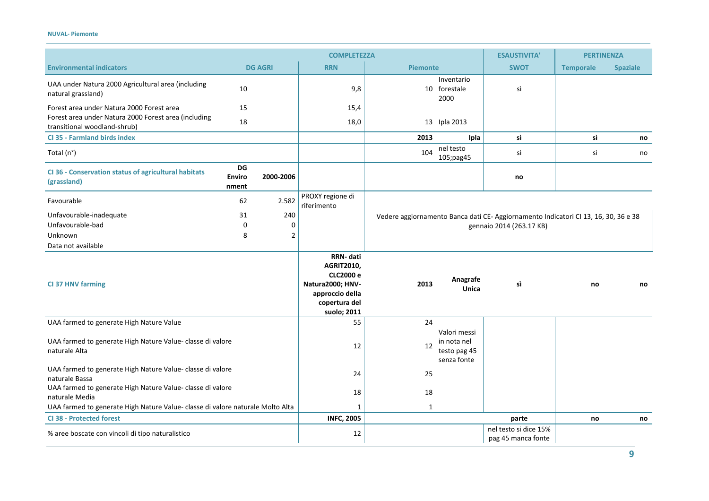|                                                                                      |                                     |                | <b>COMPLETEZZA</b>                                                                                                              |                 |                                            | <b>ESAUSTIVITA'</b>                                                                 | <b>PERTINENZA</b> |                 |
|--------------------------------------------------------------------------------------|-------------------------------------|----------------|---------------------------------------------------------------------------------------------------------------------------------|-----------------|--------------------------------------------|-------------------------------------------------------------------------------------|-------------------|-----------------|
| <b>Environmental indicators</b>                                                      |                                     | <b>DG AGRI</b> | <b>RRN</b>                                                                                                                      | <b>Piemonte</b> |                                            | <b>SWOT</b>                                                                         | <b>Temporale</b>  | <b>Spaziale</b> |
| UAA under Natura 2000 Agricultural area (including<br>natural grassland)             | 10                                  |                | 9,8                                                                                                                             |                 | Inventario<br>10 forestale<br>2000         | sì                                                                                  |                   |                 |
| Forest area under Natura 2000 Forest area                                            | 15                                  |                | 15,4                                                                                                                            |                 |                                            |                                                                                     |                   |                 |
| Forest area under Natura 2000 Forest area (including<br>transitional woodland-shrub) | 18                                  |                | 18,0                                                                                                                            |                 | 13 Ipla 2013                               |                                                                                     |                   |                 |
| <b>CI 35 - Farmland birds index</b>                                                  |                                     |                |                                                                                                                                 | 2013            | Ipla                                       | sì                                                                                  | sì                | no              |
| Total (n°)                                                                           |                                     |                |                                                                                                                                 | 104             | nel testo<br>105;pag45                     | sì                                                                                  | sì                | no              |
| CI 36 - Conservation status of agricultural habitats<br>(grassland)                  | <b>DG</b><br><b>Enviro</b><br>nment | 2000-2006      |                                                                                                                                 |                 |                                            | no                                                                                  |                   |                 |
| Favourable                                                                           | 62                                  | 2.582          | PROXY regione di<br>riferimento                                                                                                 |                 |                                            |                                                                                     |                   |                 |
| Unfavourable-inadequate                                                              | 31                                  | 240            |                                                                                                                                 |                 |                                            | Vedere aggiornamento Banca dati CE- Aggiornamento Indicatori CI 13, 16, 30, 36 e 38 |                   |                 |
| Unfavourable-bad                                                                     | 0                                   | $\mathbf 0$    |                                                                                                                                 |                 |                                            | gennaio 2014 (263.17 KB)                                                            |                   |                 |
| Unknown<br>Data not available                                                        | 8                                   | $\overline{2}$ |                                                                                                                                 |                 |                                            |                                                                                     |                   |                 |
| CI 37 HNV farming                                                                    |                                     |                | <b>RRN-dati</b><br><b>AGRIT2010,</b><br><b>CLC2000 e</b><br>Natura2000; HNV-<br>approccio della<br>copertura del<br>suolo; 2011 | 2013            | Anagrafe<br>Unica                          | sì                                                                                  | no                | no              |
| UAA farmed to generate High Nature Value                                             |                                     |                | 55                                                                                                                              | 24              | Valori messi                               |                                                                                     |                   |                 |
| UAA farmed to generate High Nature Value- classe di valore<br>naturale Alta          |                                     |                | 12                                                                                                                              | 12              | in nota nel<br>testo pag 45<br>senza fonte |                                                                                     |                   |                 |
| UAA farmed to generate High Nature Value- classe di valore<br>naturale Bassa         |                                     |                | 24                                                                                                                              | 25              |                                            |                                                                                     |                   |                 |
| UAA farmed to generate High Nature Value- classe di valore<br>naturale Media         |                                     |                | 18                                                                                                                              | 18              |                                            |                                                                                     |                   |                 |
| UAA farmed to generate High Nature Value- classe di valore naturale Molto Alta       |                                     |                | $\mathbf{1}$                                                                                                                    | $\mathbf{1}$    |                                            |                                                                                     |                   |                 |
| <b>CI 38 - Protected forest</b>                                                      |                                     |                | <b>INFC, 2005</b>                                                                                                               |                 |                                            | parte                                                                               | no                | no              |
| % aree boscate con vincoli di tipo naturalistico                                     |                                     |                | 12                                                                                                                              |                 |                                            | nel testo si dice 15%<br>pag 45 manca fonte                                         |                   |                 |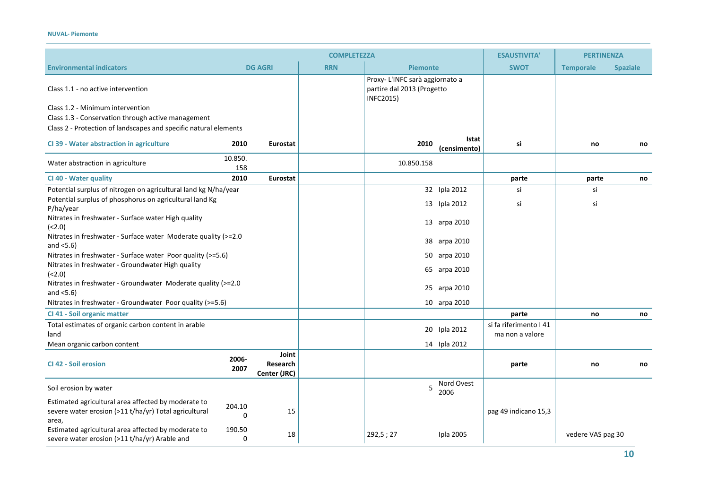|                                                                                                                       |                    |                                   | <b>COMPLETEZZA</b> |                                                                                  |                       | <b>ESAUSTIVITA'</b>                       | <b>PERTINENZA</b> |                 |
|-----------------------------------------------------------------------------------------------------------------------|--------------------|-----------------------------------|--------------------|----------------------------------------------------------------------------------|-----------------------|-------------------------------------------|-------------------|-----------------|
| <b>Environmental indicators</b>                                                                                       |                    | <b>DG AGRI</b>                    | <b>RRN</b>         | <b>Piemonte</b>                                                                  |                       | <b>SWOT</b>                               | <b>Temporale</b>  | <b>Spaziale</b> |
| Class 1.1 - no active intervention                                                                                    |                    |                                   |                    | Proxy-L'INFC sarà aggiornato a<br>partire dal 2013 (Progetto<br><b>INFC2015)</b> |                       |                                           |                   |                 |
| Class 1.2 - Minimum intervention                                                                                      |                    |                                   |                    |                                                                                  |                       |                                           |                   |                 |
| Class 1.3 - Conservation through active management                                                                    |                    |                                   |                    |                                                                                  |                       |                                           |                   |                 |
| Class 2 - Protection of landscapes and specific natural elements                                                      |                    |                                   |                    |                                                                                  |                       |                                           |                   |                 |
| CI 39 - Water abstraction in agriculture                                                                              | 2010               | <b>Eurostat</b>                   |                    | 2010                                                                             | Istat<br>(censimento) | sì                                        | no                | no              |
| Water abstraction in agriculture                                                                                      | 10.850.<br>158     |                                   |                    | 10.850.158                                                                       |                       |                                           |                   |                 |
| CI 40 - Water quality                                                                                                 | 2010               | Eurostat                          |                    |                                                                                  |                       | parte                                     | parte             | no              |
| Potential surplus of nitrogen on agricultural land kg N/ha/year                                                       |                    |                                   |                    |                                                                                  | 32 Ipla 2012          | si                                        | si                |                 |
| Potential surplus of phosphorus on agricultural land Kg<br>P/ha/year                                                  |                    |                                   |                    |                                                                                  | 13 Ipla 2012          | si                                        | si                |                 |
| Nitrates in freshwater - Surface water High quality<br>(< 2.0)                                                        |                    |                                   |                    |                                                                                  | 13 arpa 2010          |                                           |                   |                 |
| Nitrates in freshwater - Surface water Moderate quality (>=2.0<br>and $<$ 5.6)                                        |                    |                                   |                    |                                                                                  | 38 arpa 2010          |                                           |                   |                 |
| Nitrates in freshwater - Surface water Poor quality (>=5.6)                                                           |                    |                                   |                    |                                                                                  | 50 arpa 2010          |                                           |                   |                 |
| Nitrates in freshwater - Groundwater High quality                                                                     |                    |                                   |                    |                                                                                  |                       |                                           |                   |                 |
| (< 2.0)                                                                                                               |                    |                                   |                    |                                                                                  | 65 arpa 2010          |                                           |                   |                 |
| Nitrates in freshwater - Groundwater Moderate quality (>=2.0<br>and $<$ 5.6)                                          |                    |                                   |                    |                                                                                  | 25 arpa 2010          |                                           |                   |                 |
| Nitrates in freshwater - Groundwater Poor quality (>=5.6)                                                             |                    |                                   |                    |                                                                                  | 10 arpa 2010          |                                           |                   |                 |
| CI 41 - Soil organic matter                                                                                           |                    |                                   |                    |                                                                                  |                       | parte                                     | no                | no              |
| Total estimates of organic carbon content in arable<br>land                                                           |                    |                                   |                    |                                                                                  | 20 Ipla 2012          | si fa riferimento I 41<br>ma non a valore |                   |                 |
| Mean organic carbon content                                                                                           |                    |                                   |                    |                                                                                  | 14 Ipla 2012          |                                           |                   |                 |
| <b>CI 42 - Soil erosion</b>                                                                                           | 2006-<br>2007      | Joint<br>Research<br>Center (JRC) |                    |                                                                                  |                       | parte                                     | no                | no              |
| Soil erosion by water                                                                                                 |                    |                                   |                    | 5                                                                                | Nord Ovest<br>2006    |                                           |                   |                 |
| Estimated agricultural area affected by moderate to<br>severe water erosion (>11 t/ha/yr) Total agricultural<br>area, | 204.10<br>$\Omega$ | 15                                |                    |                                                                                  |                       | pag 49 indicano 15,3                      |                   |                 |
| Estimated agricultural area affected by moderate to<br>severe water erosion (>11 t/ha/yr) Arable and                  | 190.50<br>0        | 18                                |                    | 292,5;27                                                                         | Ipla 2005             |                                           | vedere VAS pag 30 |                 |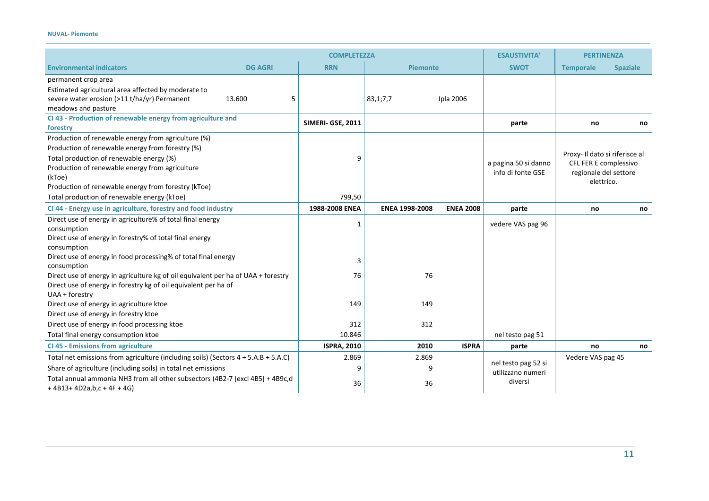|                                                                                    |                | <b>COMPLETEZZA</b> |                       |                  | <b>ESAUSTIVITA'</b>  | <b>PERTINENZA</b>             |                 |
|------------------------------------------------------------------------------------|----------------|--------------------|-----------------------|------------------|----------------------|-------------------------------|-----------------|
| <b>Environmental indicators</b>                                                    | <b>DG AGRI</b> | <b>RRN</b>         | <b>Piemonte</b>       |                  | <b>SWOT</b>          | <b>Temporale</b>              | <b>Spaziale</b> |
| permanent crop area                                                                |                |                    |                       |                  |                      |                               |                 |
| Estimated agricultural area affected by moderate to                                |                |                    |                       |                  |                      |                               |                 |
| severe water erosion (>11 t/ha/yr) Permanent<br>meadows and pasture                | 13.600<br>5    |                    | 83,1;7,7              | Ipla 2006        |                      |                               |                 |
| CI 43 - Production of renewable energy from agriculture and                        |                |                    |                       |                  |                      |                               |                 |
| forestry                                                                           |                | SIMERI- GSE, 2011  |                       |                  | parte                | no                            | no              |
| Production of renewable energy from agriculture (%)                                |                |                    |                       |                  |                      |                               |                 |
| Production of renewable energy from forestry (%)                                   |                |                    |                       |                  |                      | Proxy-II dato si riferisce al |                 |
| Total production of renewable energy (%)                                           |                | 9                  |                       |                  | a pagina 50 si danno | CFL FER E complessivo         |                 |
| Production of renewable energy from agriculture                                    |                |                    |                       |                  | info di fonte GSE    | regionale del settore         |                 |
| (kToe)<br>Production of renewable energy from forestry (kToe)                      |                |                    |                       |                  |                      | elettrico.                    |                 |
| Total production of renewable energy (kToe)                                        |                | 799,50             |                       |                  |                      |                               |                 |
| CI 44 - Energy use in agriculture, forestry and food industry                      |                | 1988-2008 ENEA     | <b>ENEA 1998-2008</b> | <b>ENEA 2008</b> | parte                | no                            |                 |
| Direct use of energy in agriculture% of total final energy                         |                |                    |                       |                  |                      |                               | no              |
| consumption                                                                        |                | 1                  |                       |                  | vedere VAS pag 96    |                               |                 |
| Direct use of energy in forestry% of total final energy                            |                |                    |                       |                  |                      |                               |                 |
| consumption                                                                        |                |                    |                       |                  |                      |                               |                 |
| Direct use of energy in food processing% of total final energy                     |                | 3                  |                       |                  |                      |                               |                 |
| consumption                                                                        |                |                    |                       |                  |                      |                               |                 |
| Direct use of energy in agriculture kg of oil equivalent per ha of UAA + forestry  |                | 76                 | 76                    |                  |                      |                               |                 |
| Direct use of energy in forestry kg of oil equivalent per ha of                    |                |                    |                       |                  |                      |                               |                 |
| UAA + forestry<br>Direct use of energy in agriculture ktoe                         |                | 149                | 149                   |                  |                      |                               |                 |
| Direct use of energy in forestry ktoe                                              |                |                    |                       |                  |                      |                               |                 |
| Direct use of energy in food processing ktoe                                       |                | 312                | 312                   |                  |                      |                               |                 |
| Total final energy consumption ktoe                                                |                | 10.846             |                       |                  | nel testo pag 51     |                               |                 |
| <b>CI 45 - Emissions from agriculture</b>                                          |                | <b>ISPRA, 2010</b> | 2010                  | <b>ISPRA</b>     | parte                | no                            | no              |
| Total net emissions from agriculture (including soils) (Sectors 4 + 5.A.B + 5.A.C) |                | 2.869              | 2.869                 |                  |                      | Vedere VAS pag 45             |                 |
| Share of agriculture (including soils) in total net emissions                      |                | 9                  | q                     |                  | nel testo pag 52 si  |                               |                 |
| Total annual ammonia NH3 from all other subsectors (4B2-7 [excl 4B5] + 4B9c,d      |                |                    |                       |                  | utilizzano numeri    |                               |                 |
| $+ 4B13 + 4D2a,b,c + 4F + 4G$                                                      |                | 36                 | 36                    |                  | diversi              |                               |                 |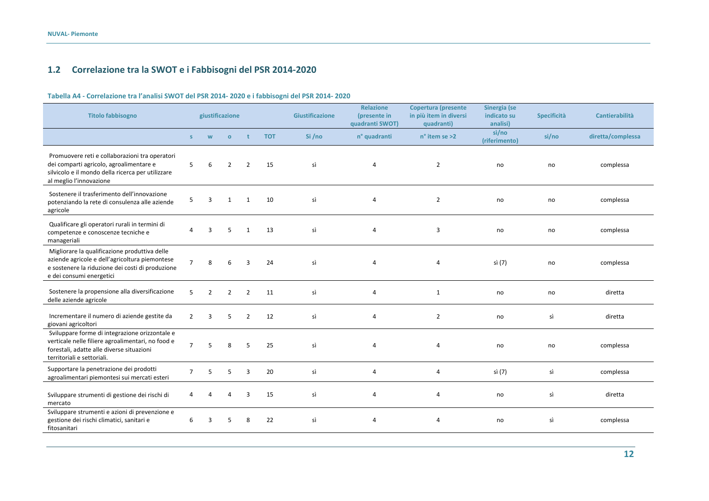## **1.2 Correlazione tra la SWOT <sup>e</sup> i Fabbisogni del PSR 2014‐2020**

#### **Titolo fabbisogno giustificazione Giustificazione Relazione(presente in quadranti SWOT) Copertura (presente in più item in diversi quadranti) Sinergia (se indicato su analisi) Specificità Cantierabilità s w <sup>o</sup> <sup>t</sup> TOT Si /no <sup>n</sup>° quadranti <sup>n</sup>° item se >2 sì/no (riferimento) si/no diretta/complessa** Promuovere reti <sup>e</sup> collaborazioni tra operatori dei comparti agricolo, agroalimentare <sup>e</sup> silvicolo <sup>e</sup> il mondo della ricerca per utilizzare al meglio l'innovazione 55 6 2 2 15 sì 4 2 no no complessa Sostenere il trasferimento dell'innovazione potenziando la rete di consulenza alle aziende agricole 55 3 1 1 10 sì 4 2 no no complessa Qualificare gli operatori rurali in termini di competenze <sup>e</sup> conoscenze tecniche <sup>e</sup> manageriali 4 3 5 1 13 sì 4 3 no no complessa Migliorare la qualificazione produttiva delle aziende agricole <sup>e</sup> dell'agricoltura piemontese e sostenere la riduzione dei costi di produzione e dei consumi energetici 7 8 6 3 24 sì 4 4 sì (7) no complessa Sostenere la propensione alla diversificazione delle aziende agricole 55 2 2 2 11 sì 4 1 1 1 1 10 no diretta Incrementare il numero di aziende gestite da giovani agricoltori 22 3 5 2 12 sì 4 2 no no sì diretta Sviluppare forme di integrazione orizzontale <sup>e</sup> verticale nelle filiere agroalimentari, no food <sup>e</sup> forestali, adatte alle diverse situazioni territoriali e settoriali. 77 5 8 5 25 sì 4 4 10 no complessa Supportare la penetrazione dei prodotti agroalimentari piemontesi sui mercati esteri 7 5 5 3 20 sì 4 4 sì (7) sì complessa Sviluppare strumenti di gestione dei rischi di mercato4 4 4 3 15 sì 4 4 no sì diretta Sviluppare strumenti <sup>e</sup> azioni di prevenzione <sup>e</sup> gestione dei rischi climatici, sanitari <sup>e</sup> fitosanitari 6 3 5 8 22 sì 4 4 nosì complessa

### Tabella A4 - Correlazione tra l'analisi SWOT del PSR 2014- 2020 e i fabbisogni del PSR 2014- 2020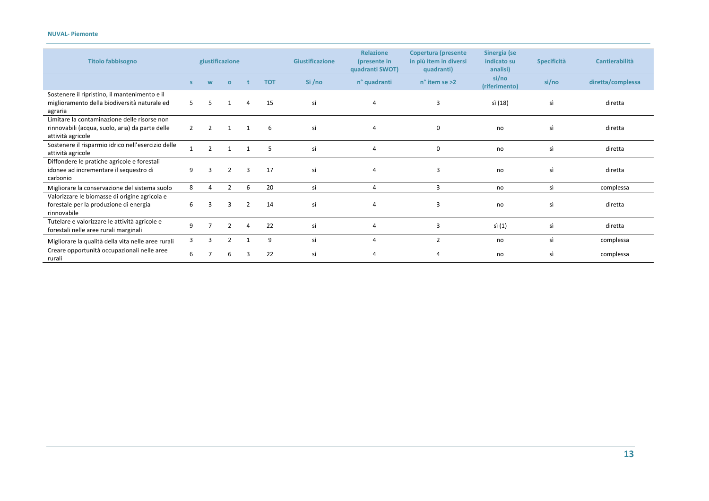| <b>Titolo fabbisogno</b>                                                                                             |   | giustificazione |               |               |            | <b>Giustificazione</b> | <b>Relazione</b><br>(presente in<br>quadranti SWOT) | <b>Copertura (presente</b><br>in più item in diversi<br>quadranti) | Sinergia (se<br>indicato su<br>analisi) | <b>Specificità</b> | Cantierabilità    |
|----------------------------------------------------------------------------------------------------------------------|---|-----------------|---------------|---------------|------------|------------------------|-----------------------------------------------------|--------------------------------------------------------------------|-----------------------------------------|--------------------|-------------------|
|                                                                                                                      | s | W               | $\Omega$      |               | <b>TOT</b> | Si/no                  | n° quadranti                                        | $n^{\circ}$ item se >2                                             | sì/no<br>(riferimento)                  | si/no              | diretta/complessa |
| Sostenere il ripristino, il mantenimento e il<br>miglioramento della biodiversità naturale ed<br>agraria             | 5 | 5               | $\mathbf{1}$  | 4             | 15         | sì                     | 4                                                   | 3                                                                  | sì (18)                                 | sì                 | diretta           |
| Limitare la contaminazione delle risorse non<br>rinnovabili (acqua, suolo, aria) da parte delle<br>attività agricole | 2 | $\mathcal{P}$   |               |               | 6          | sì                     | 4                                                   | 0                                                                  | no                                      | sì                 | diretta           |
| Sostenere il risparmio idrico nell'esercizio delle<br>attività agricole                                              |   | $\overline{2}$  |               |               | 5          | sì                     | $\overline{4}$                                      | $\mathbf 0$                                                        | no                                      | sì                 | diretta           |
| Diffondere le pratiche agricole e forestali<br>idonee ad incrementare il sequestro di<br>carbonio                    | 9 | 3               | $\mathcal{P}$ | 3             | 17         | sì                     | 4                                                   | 3                                                                  | no                                      | sì                 | diretta           |
| Migliorare la conservazione del sistema suolo                                                                        | 8 | 4               | 2             | 6             | 20         | sì                     | $\overline{4}$                                      | 3                                                                  | no                                      | sì                 | complessa         |
| Valorizzare le biomasse di origine agricola e<br>forestale per la produzione di energia<br>rinnovabile               | 6 | ς               | २             | $\mathcal{P}$ | 14         | sì                     | 4                                                   | 3                                                                  | no                                      | sì                 | diretta           |
| Tutelare e valorizzare le attività agricole e<br>forestali nelle aree rurali marginali                               | 9 |                 | $\mathcal{D}$ | Δ             | 22         | sì                     | 4                                                   | 3                                                                  | si(1)                                   | sì                 | diretta           |
| Migliorare la qualità della vita nelle aree rurali                                                                   | 3 |                 |               |               | 9          | sì                     | 4                                                   | $\overline{2}$                                                     | no                                      | sì                 | complessa         |
| Creare opportunità occupazionali nelle aree<br>rurali                                                                | 6 |                 |               |               | 22         | sì                     | 4                                                   | 4                                                                  | no                                      | sì                 | complessa         |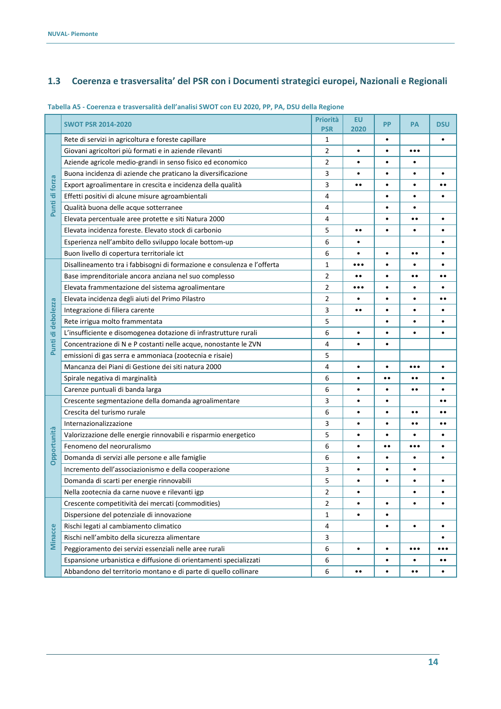## **1.3 Coerenza e trasversalita' del PSR con i Documenti strategici europei, Nazionali e Regionali**

|                    | <b>SWOT PSR 2014-2020</b>                                               | Priorità<br><b>PSR</b> | <b>EU</b><br>2020       | <b>PP</b>        | <b>PA</b>               | <b>DSU</b>       |
|--------------------|-------------------------------------------------------------------------|------------------------|-------------------------|------------------|-------------------------|------------------|
|                    | Rete di servizi in agricoltura e foreste capillare                      | 1                      |                         |                  |                         |                  |
|                    | Giovani agricoltori più formati e in aziende rilevanti                  | $\overline{2}$         | $\bullet$               | ٠                | $\bullet\bullet\bullet$ |                  |
|                    | Aziende agricole medio-grandi in senso fisico ed economico              | $\overline{2}$         | $\bullet$               | $\bullet$        | $\bullet$               |                  |
|                    | Buona incidenza di aziende che praticano la diversificazione            | 3                      | $\bullet$               | $\bullet$        | $\bullet$               |                  |
|                    | Export agroalimentare in crescita e incidenza della qualità             | 3                      | $\bullet$               | $\bullet$        | $\bullet$               | $\bullet$        |
|                    | Effetti positivi di alcune misure agroambientali                        | 4                      |                         | ٠                | $\bullet$               |                  |
| Punti di forza     | Qualità buona delle acque sotterranee                                   | 4                      |                         | $\bullet$        | $\bullet$               |                  |
|                    | Elevata percentuale aree protette e siti Natura 2000                    | 4                      |                         | $\bullet$        | $\bullet$               |                  |
|                    | Elevata incidenza foreste. Elevato stock di carbonio                    | 5                      | $\bullet$               | $\bullet$        | $\bullet$               |                  |
|                    | Esperienza nell'ambito dello sviluppo locale bottom-up                  | 6                      | ٠                       |                  |                         |                  |
|                    | Buon livello di copertura territoriale ict                              | 6                      | $\bullet$               | $\bullet$        | $\bullet$               |                  |
|                    | Disallineamento tra i fabbisogni di formazione e consulenza e l'offerta | $\mathbf{1}$           | $\bullet\bullet\bullet$ | $\bullet$        | $\bullet$               |                  |
|                    | Base imprenditoriale ancora anziana nel suo complesso                   | $\overline{2}$         | $\bullet\bullet$        | $\bullet$        | $\bullet$               | $\bullet\bullet$ |
|                    | Elevata frammentazione del sistema agroalimentare                       | $\overline{2}$         | $\bullet\bullet\bullet$ | ٠                | $\bullet$               |                  |
|                    | Elevata incidenza degli aiuti del Primo Pilastro                        | $\overline{2}$         | $\bullet$               | $\bullet$        | $\bullet$               | $\bullet$        |
| Punti di debolezza | Integrazione di filiera carente                                         | 3                      | $\bullet$               | $\bullet$        | $\bullet$               |                  |
|                    | Rete irrigua molto frammentata                                          | 5                      |                         | $\bullet$        | $\bullet$               |                  |
|                    | L'insufficiente e disomogenea dotazione di infrastrutture rurali        | 6                      | $\bullet$               | $\bullet$        | $\bullet$               |                  |
|                    | Concentrazione di N e P costanti nelle acque, nonostante le ZVN         | 4                      | $\bullet$               | $\bullet$        |                         |                  |
|                    | emissioni di gas serra e ammoniaca (zootecnia e risaie)                 | 5                      |                         |                  |                         |                  |
|                    | Mancanza dei Piani di Gestione dei siti natura 2000                     | 4                      | $\bullet$               | $\bullet$        | $\bullet\bullet\bullet$ |                  |
|                    | Spirale negativa di marginalità                                         | 6                      | $\bullet$               | $\bullet\bullet$ | $\bullet$               |                  |
|                    | Carenze puntuali di banda larga                                         | 6                      | $\bullet$               | $\bullet$        | $\bullet$               |                  |
|                    | Crescente segmentazione della domanda agroalimentare                    | 3                      | $\bullet$               | $\bullet$        |                         | $\bullet$        |
|                    | Crescita del turismo rurale                                             | 6                      | $\bullet$               | $\bullet$        | $\bullet\bullet$        |                  |
|                    | Internazionalizzazione                                                  | 3                      | $\bullet$               | ٠                | $\bullet$               | $\bullet\bullet$ |
| Opportunità        | Valorizzazione delle energie rinnovabili e risparmio energetico         | 5                      | $\bullet$               | $\bullet$        | $\bullet$               |                  |
|                    | Fenomeno del neoruralismo                                               | 6                      | $\bullet$               | $\bullet$        | $\bullet\bullet\bullet$ |                  |
|                    | Domanda di servizi alle persone e alle famiglie                         | 6                      | $\bullet$               | $\bullet$        | $\bullet$               |                  |
|                    | Incremento dell'associazionismo e della cooperazione                    | 3                      | $\bullet$               | $\bullet$        | $\bullet$               |                  |
|                    | Domanda di scarti per energie rinnovabili                               | 5                      | $\bullet$               | $\bullet$        | $\bullet$               |                  |
|                    | Nella zootecnia da carne nuove e rilevanti igp                          | 2                      |                         |                  |                         |                  |
|                    | Crescente competitività dei mercati (commodities)                       | $\overline{2}$         | $\bullet$               | $\bullet$        | $\bullet$               |                  |
|                    | Dispersione del potenziale di innovazione                               | $\mathbf{1}$           | $\bullet$               | $\bullet$        |                         |                  |
|                    | Rischi legati al cambiamento climatico                                  | 4                      |                         | $\bullet$        | $\bullet$               | $\bullet$        |
| <b>Minacce</b>     | Rischi nell'ambito della sicurezza alimentare                           | 3                      |                         |                  |                         |                  |
|                    | Peggioramento dei servizi essenziali nelle aree rurali                  | 6                      | $\bullet$               | $\bullet$        | $\bullet\bullet\bullet$ |                  |
|                    | Espansione urbanistica e diffusione di orientamenti specializzati       | 6                      |                         | $\bullet$        | $\bullet$               | $\bullet\bullet$ |
|                    | Abbandono del territorio montano e di parte di quello collinare         | 6                      | $\bullet$<br>$\bullet$  | $\bullet$        | $\bullet$               | ٠                |

**Tabella A5 ‐ Coerenza e trasversalità dell'analisi SWOT con EU 2020, PP, PA, DSU della Regione**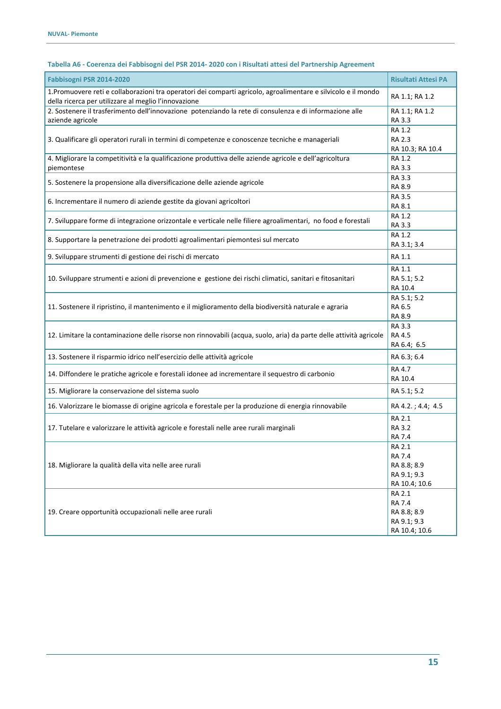| Fabbisogni PSR 2014-2020                                                                                                                                              | <b>Risultati Attesi PA</b>                                                    |
|-----------------------------------------------------------------------------------------------------------------------------------------------------------------------|-------------------------------------------------------------------------------|
| 1.Promuovere reti e collaborazioni tra operatori dei comparti agricolo, agroalimentare e silvicolo e il mondo<br>della ricerca per utilizzare al meglio l'innovazione | RA 1.1; RA 1.2                                                                |
| 2. Sostenere il trasferimento dell'innovazione potenziando la rete di consulenza e di informazione alle<br>aziende agricole                                           | RA 1.1; RA 1.2<br>RA 3.3                                                      |
| 3. Qualificare gli operatori rurali in termini di competenze e conoscenze tecniche e manageriali                                                                      | RA 1.2<br>RA 2.3<br>RA 10.3; RA 10.4                                          |
| 4. Migliorare la competitività e la qualificazione produttiva delle aziende agricole e dell'agricoltura<br>piemontese                                                 | <b>RA 1.2</b><br>RA 3.3                                                       |
| 5. Sostenere la propensione alla diversificazione delle aziende agricole                                                                                              | RA 3.3<br>RA 8.9                                                              |
| 6. Incrementare il numero di aziende gestite da giovani agricoltori                                                                                                   | RA 3.5<br>RA 8.1                                                              |
| 7. Sviluppare forme di integrazione orizzontale e verticale nelle filiere agroalimentari, no food e forestali                                                         | RA 1.2<br>RA 3.3                                                              |
| 8. Supportare la penetrazione dei prodotti agroalimentari piemontesi sul mercato                                                                                      | <b>RA 1.2</b><br>RA 3.1; 3.4                                                  |
| 9. Sviluppare strumenti di gestione dei rischi di mercato                                                                                                             | RA 1.1                                                                        |
| 10. Sviluppare strumenti e azioni di prevenzione e gestione dei rischi climatici, sanitari e fitosanitari                                                             | RA 1.1<br>RA 5.1; 5.2<br>RA 10.4                                              |
| 11. Sostenere il ripristino, il mantenimento e il miglioramento della biodiversità naturale e agraria                                                                 | RA 5.1; 5.2<br>RA 6.5<br>RA 8.9                                               |
| 12. Limitare la contaminazione delle risorse non rinnovabili (acqua, suolo, aria) da parte delle attività agricole                                                    | RA 3.3<br>RA 4.5<br>RA 6.4; 6.5                                               |
| 13. Sostenere il risparmio idrico nell'esercizio delle attività agricole                                                                                              | RA 6.3; 6.4                                                                   |
| 14. Diffondere le pratiche agricole e forestali idonee ad incrementare il sequestro di carbonio                                                                       | RA 4.7<br>RA 10.4                                                             |
| 15. Migliorare la conservazione del sistema suolo                                                                                                                     | RA 5.1; 5.2                                                                   |
| 16. Valorizzare le biomasse di origine agricola e forestale per la produzione di energia rinnovabile                                                                  | RA 4.2.; 4.4; 4.5                                                             |
| 17. Tutelare e valorizzare le attività agricole e forestali nelle aree rurali marginali                                                                               | RA 2.1<br><b>RA 3.2</b><br>RA 7.4                                             |
| 18. Migliorare la qualità della vita nelle aree rurali                                                                                                                | <b>RA 2.1</b><br><b>RA 7.4</b><br>RA 8.8; 8.9<br>RA 9.1; 9.3<br>RA 10.4; 10.6 |
| 19. Creare opportunità occupazionali nelle aree rurali                                                                                                                | RA 2.1<br><b>RA 7.4</b><br>RA 8.8; 8.9<br>RA 9.1; 9.3<br>RA 10.4; 10.6        |

## Tabella A6 - Coerenza dei Fabbisogni del PSR 2014-2020 con i Risultati attesi del Partnership Agreement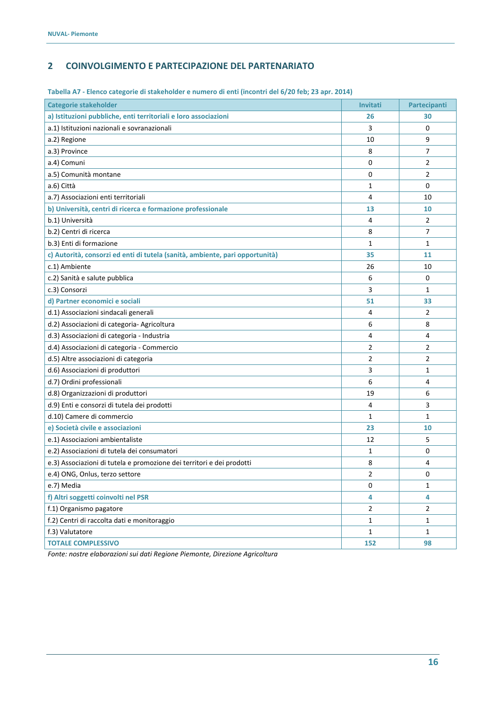## **2 COINVOLGIMENTO E PARTECIPAZIONE DEL PARTENARIATO**

| Tabella A7 - Elenco categorie di stakeholder e numero di enti (incontri del 6/20 feb; 23 apr. 2014) |  |  |  |
|-----------------------------------------------------------------------------------------------------|--|--|--|
|-----------------------------------------------------------------------------------------------------|--|--|--|

| <b>Categorie stakeholder</b>                                                 | Invitati       | Partecipanti |
|------------------------------------------------------------------------------|----------------|--------------|
| a) Istituzioni pubbliche, enti territoriali e loro associazioni              | 26             | 30           |
| a.1) Istituzioni nazionali e sovranazionali                                  | 3              | 0            |
| a.2) Regione                                                                 | 10             | 9            |
| a.3) Province                                                                | 8              | 7            |
| a.4) Comuni                                                                  | 0              | 2            |
| a.5) Comunità montane                                                        | 0              | 2            |
| a.6) Città                                                                   | 1              | 0            |
| a.7) Associazioni enti territoriali                                          | 4              | 10           |
| b) Università, centri di ricerca e formazione professionale                  | 13             | 10           |
| b.1) Università                                                              | 4              | 2            |
| b.2) Centri di ricerca                                                       | 8              | 7            |
| b.3) Enti di formazione                                                      | 1              | 1            |
| c) Autorità, consorzi ed enti di tutela (sanità, ambiente, pari opportunità) | 35             | 11           |
| c.1) Ambiente                                                                | 26             | 10           |
| c.2) Sanità e salute pubblica                                                | 6              | 0            |
| c.3) Consorzi                                                                | 3              | 1            |
| d) Partner economici e sociali                                               | 51             | 33           |
| d.1) Associazioni sindacali generali                                         | 4              | 2            |
| d.2) Associazioni di categoria- Agricoltura                                  | 6              | 8            |
| d.3) Associazioni di categoria - Industria                                   | 4              | 4            |
| d.4) Associazioni di categoria - Commercio                                   | 2              | 2            |
| d.5) Altre associazioni di categoria                                         | 2              | 2            |
| d.6) Associazioni di produttori                                              | 3              | 1            |
| d.7) Ordini professionali                                                    | 6              | 4            |
| d.8) Organizzazioni di produttori                                            | 19             | 6            |
| d.9) Enti e consorzi di tutela dei prodotti                                  | 4              | 3            |
| d.10) Camere di commercio                                                    | 1              | 1            |
| e) Società civile e associazioni                                             | 23             | 10           |
| e.1) Associazioni ambientaliste                                              | 12             | 5            |
| e.2) Associazioni di tutela dei consumatori                                  | 1              | 0            |
| e.3) Associazioni di tutela e promozione dei territori e dei prodotti        | 8              | 4            |
| e.4) ONG, Onlus, terzo settore                                               | $\overline{2}$ | 0            |
| e.7) Media                                                                   | 0              | 1            |
| f) Altri soggetti coinvolti nel PSR                                          | 4              | 4            |
| f.1) Organismo pagatore                                                      | $\overline{2}$ | $\mathbf{2}$ |
| f.2) Centri di raccolta dati e monitoraggio                                  | $\mathbf{1}$   | 1            |
| f.3) Valutatore                                                              | $\mathbf{1}$   | 1            |
| <b>TOTALE COMPLESSIVO</b>                                                    | 152            | 98           |

*Fonte: nostre elaborazioni sui dati Regione Piemonte, Direzione Agricoltura*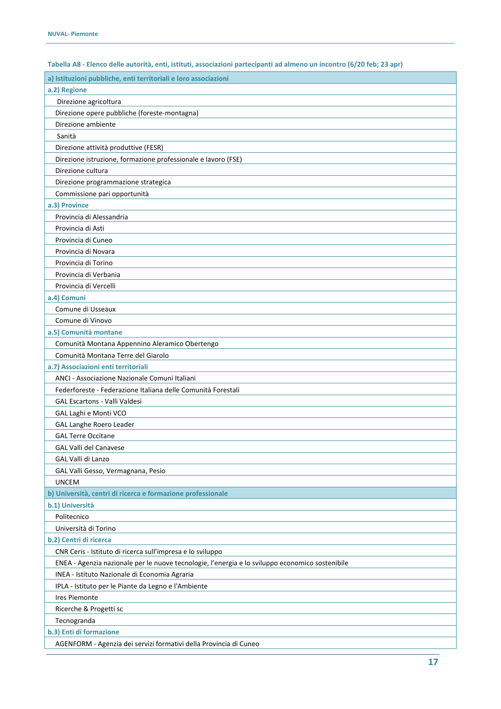| a) Istituzioni pubbliche, enti territoriali e loro associazioni                                 |
|-------------------------------------------------------------------------------------------------|
| a.2) Regione                                                                                    |
| Direzione agricoltura                                                                           |
| Direzione opere pubbliche (foreste-montagna)                                                    |
| Direzione ambiente                                                                              |
| Sanità                                                                                          |
| Direzione attività produttive (FESR)                                                            |
| Direzione istruzione, formazione professionale e lavoro (FSE)                                   |
| Direzione cultura                                                                               |
| Direzione programmazione strategica                                                             |
| Commissione pari opportunità                                                                    |
| a.3) Province                                                                                   |
| Provincia di Alessandria                                                                        |
| Provincia di Asti                                                                               |
| Provincia di Cuneo                                                                              |
| Provincia di Novara                                                                             |
| Provincia di Torino                                                                             |
| Provincia di Verbania                                                                           |
| Provincia di Vercelli                                                                           |
| a.4) Comuni                                                                                     |
| Comune di Usseaux                                                                               |
| Comune di Vinovo                                                                                |
| a.5) Comunità montane                                                                           |
| Comunità Montana Appennino Aleramico Obertengo                                                  |
| Comunità Montana Terre del Giarolo                                                              |
| a.7) Associazioni enti territoriali                                                             |
| ANCI - Associazione Nazionale Comuni Italiani                                                   |
| Federforeste - Federazione Italiana delle Comunità Forestali                                    |
| <b>GAL Escartons - Valli Valdesi</b>                                                            |
| GAL Laghi e Monti VCO                                                                           |
| GAL Langhe Roero Leader                                                                         |
| <b>GAL Terre Occitane</b>                                                                       |
| <b>GAL Valli del Canavese</b>                                                                   |
| GAL Valli di Lanzo                                                                              |
| GAL Valli Gesso, Vermagnana, Pesio                                                              |
| <b>UNCEM</b>                                                                                    |
| b) Università, centri di ricerca e formazione professionale                                     |
| b.1) Università                                                                                 |
| Politecnico                                                                                     |
| Università di Torino                                                                            |
| b.2) Centri di ricerca                                                                          |
| CNR Ceris - Istituto di ricerca sull'impresa e lo sviluppo                                      |
| ENEA - Agenzia nazionale per le nuove tecnologie, l'energia e lo sviluppo economico sostenibile |
| INEA - Istituto Nazionale di Economia Agraria                                                   |
| IPLA - Istituto per le Piante da Legno e l'Ambiente                                             |
| Ires Piemonte                                                                                   |
| Ricerche & Progetti sc                                                                          |
| Tecnogranda                                                                                     |
| b.3) Enti di formazione                                                                         |
| AGENFORM - Agenzia dei servizi formativi della Provincia di Cuneo                               |

Tabella A8 - Elenco delle autorità, enti, istituti, associazioni partecipanti ad almeno un incontro (6/20 feb; 23 apr)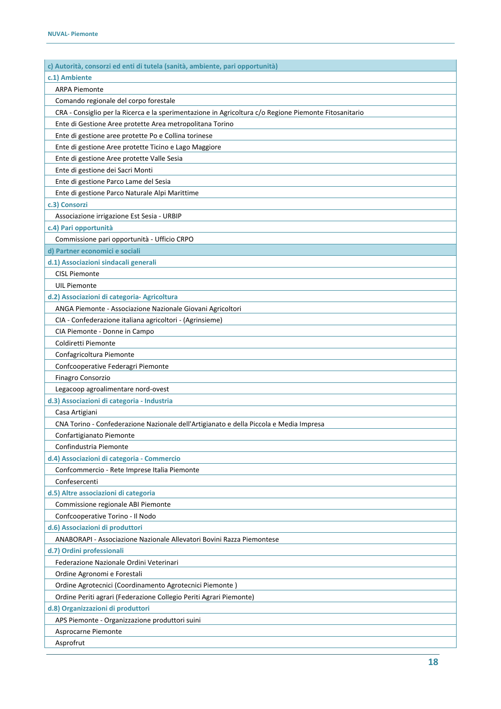| c) Autorità, consorzi ed enti di tutela (sanità, ambiente, pari opportunità)                          |
|-------------------------------------------------------------------------------------------------------|
| c.1) Ambiente                                                                                         |
| <b>ARPA Piemonte</b>                                                                                  |
| Comando regionale del corpo forestale                                                                 |
| CRA - Consiglio per la Ricerca e la sperimentazione in Agricoltura c/o Regione Piemonte Fitosanitario |
| Ente di Gestione Aree protette Area metropolitana Torino                                              |
| Ente di gestione aree protette Po e Collina torinese                                                  |
| Ente di gestione Aree protette Ticino e Lago Maggiore                                                 |
| Ente di gestione Aree protette Valle Sesia                                                            |
| Ente di gestione dei Sacri Monti                                                                      |
| Ente di gestione Parco Lame del Sesia                                                                 |
| Ente di gestione Parco Naturale Alpi Marittime                                                        |
| c.3) Consorzi                                                                                         |
| Associazione irrigazione Est Sesia - URBIP                                                            |
| c.4) Pari opportunità                                                                                 |
| Commissione pari opportunità - Ufficio CRPO                                                           |
| d) Partner economici e sociali                                                                        |
| d.1) Associazioni sindacali generali                                                                  |
| <b>CISL Piemonte</b>                                                                                  |
| <b>UIL Piemonte</b>                                                                                   |
| d.2) Associazioni di categoria- Agricoltura                                                           |
| ANGA Piemonte - Associazione Nazionale Giovani Agricoltori                                            |
| CIA - Confederazione italiana agricoltori - (Agrinsieme)                                              |
| CIA Piemonte - Donne in Campo                                                                         |
| Coldiretti Piemonte                                                                                   |
| Confagricoltura Piemonte                                                                              |
| Confcooperative Federagri Piemonte                                                                    |
| Finagro Consorzio                                                                                     |
| Legacoop agroalimentare nord-ovest                                                                    |
| d.3) Associazioni di categoria - Industria                                                            |
| Casa Artigiani                                                                                        |
| CNA Torino - Confederazione Nazionale dell'Artigianato e della Piccola e Media Impresa                |
| Confartigianato Piemonte                                                                              |
| Confindustria Piemonte                                                                                |
| d.4) Associazioni di categoria - Commercio                                                            |
|                                                                                                       |
| Confcommercio - Rete Imprese Italia Piemonte                                                          |
| Confesercenti                                                                                         |
| d.5) Altre associazioni di categoria                                                                  |
| Commissione regionale ABI Piemonte                                                                    |
| Confcooperative Torino - Il Nodo                                                                      |
| d.6) Associazioni di produttori                                                                       |
| ANABORAPI - Associazione Nazionale Allevatori Bovini Razza Piemontese                                 |
| d.7) Ordini professionali                                                                             |
| Federazione Nazionale Ordini Veterinari                                                               |
| Ordine Agronomi e Forestali                                                                           |
| Ordine Agrotecnici (Coordinamento Agrotecnici Piemonte)                                               |
| Ordine Periti agrari (Federazione Collegio Periti Agrari Piemonte)                                    |
| d.8) Organizzazioni di produttori                                                                     |
| APS Piemonte - Organizzazione produttori suini                                                        |
| Asprocarne Piemonte                                                                                   |
| Asprofrut                                                                                             |
|                                                                                                       |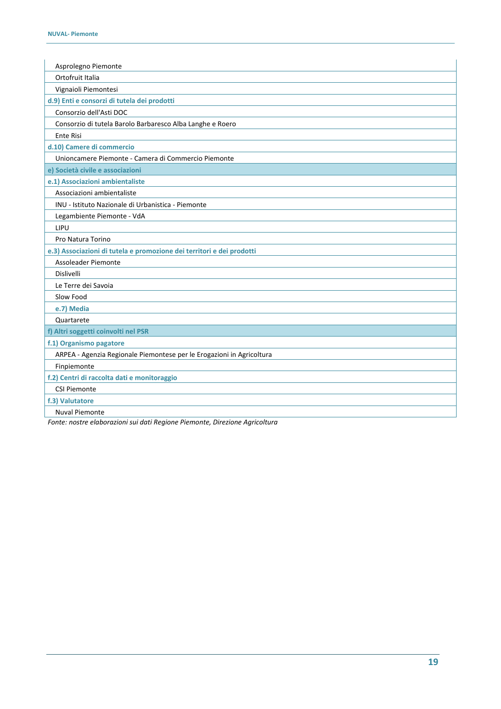| Asprolegno Piemonte                                                   |
|-----------------------------------------------------------------------|
| Ortofruit Italia                                                      |
| Vignaioli Piemontesi                                                  |
| d.9) Enti e consorzi di tutela dei prodotti                           |
| Consorzio dell'Asti DOC                                               |
| Consorzio di tutela Barolo Barbaresco Alba Langhe e Roero             |
| <b>Ente Risi</b>                                                      |
| d.10) Camere di commercio                                             |
| Unioncamere Piemonte - Camera di Commercio Piemonte                   |
| e) Società civile e associazioni                                      |
| e.1) Associazioni ambientaliste                                       |
| Associazioni ambientaliste                                            |
| INU - Istituto Nazionale di Urbanistica - Piemonte                    |
| Legambiente Piemonte - VdA                                            |
| LIPU                                                                  |
| Pro Natura Torino                                                     |
| e.3) Associazioni di tutela e promozione dei territori e dei prodotti |
| Assoleader Piemonte                                                   |
| Dislivelli                                                            |
| Le Terre dei Savoia                                                   |
| Slow Food                                                             |
| e.7) Media                                                            |
| Quartarete                                                            |
| f) Altri soggetti coinvolti nel PSR                                   |
| f.1) Organismo pagatore                                               |
| ARPEA - Agenzia Regionale Piemontese per le Erogazioni in Agricoltura |
| Finpiemonte                                                           |
| f.2) Centri di raccolta dati e monitoraggio                           |
| <b>CSI Piemonte</b>                                                   |
| f.3) Valutatore                                                       |
| <b>Nuval Piemonte</b>                                                 |

*Fonte: nostre elaborazioni sui dati Regione Piemonte, Direzione Agricoltura*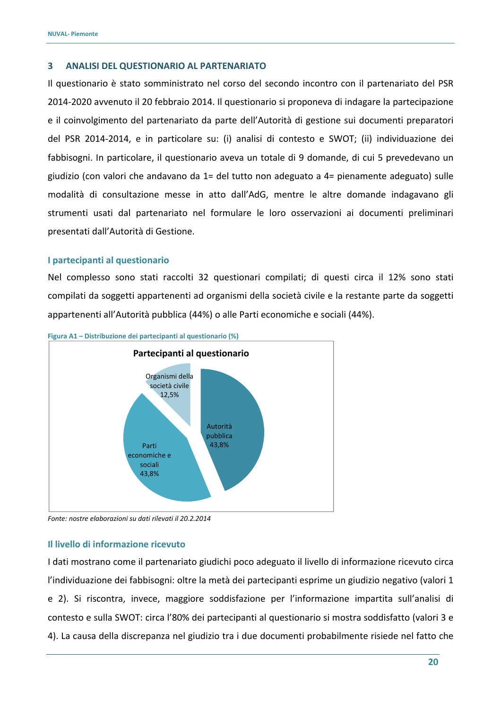### **3 ANALISI DEL QUESTIONARIO AL PARTENARIATO**

Il questionario è stato somministrato nel corso del secondo incontro con il partenariato del PSR 2014‐2020 avvenuto il 20 febbraio 2014. Il questionario si proponeva di indagare la partecipazione e il coinvolgimento del partenariato da parte dell'Autorità di gestione sui documenti preparatori del PSR 2014‐2014, e in particolare su: (i) analisi di contesto e SWOT; (ii) individuazione dei fabbisogni. In particolare, il questionario aveva un totale di 9 domande, di cui 5 prevedevano un giudizio (con valori che andavano da 1= del tutto non adeguato a 4= pienamente adeguato) sulle modalità di consultazione messe in atto dall'AdG, mentre le altre domande indagavano gli strumenti usati dal partenariato nel formulare le loro osservazioni ai documenti preliminari presentati dall'Autorità di Gestione.

### **I partecipanti al questionario**

Nel complesso sono stati raccolti 32 questionari compilati; di questi circa il 12% sono stati compilati da soggetti appartenenti ad organismi della società civile e la restante parte da soggetti appartenenti all'Autorità pubblica (44%) o alle Parti economiche e sociali (44%).



**Figura A1 – Distribuzione dei partecipanti al questionario (%)**

*Fonte: nostre elaborazioni su dati rilevati il 20.2.2014*

## **Il livello di informazione ricevuto**

I dati mostrano come il partenariato giudichi poco adeguato il livello di informazione ricevuto circa l'individuazione dei fabbisogni: oltre la metà dei partecipanti esprime un giudizio negativo (valori 1 e 2). Si riscontra, invece, maggiore soddisfazione per l'informazione impartita sull'analisi di contesto e sulla SWOT: circa l'80% dei partecipanti al questionario si mostra soddisfatto (valori 3 e 4). La causa della discrepanza nel giudizio tra i due documenti probabilmente risiede nel fatto che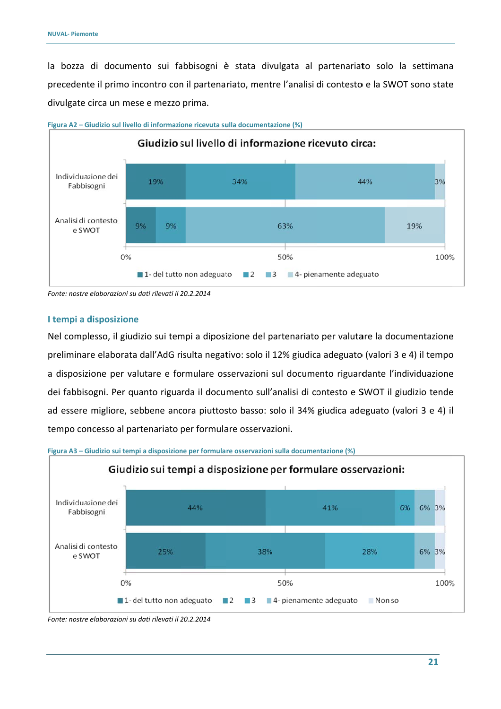la bozza di documento sui fabbisogni è stata divulgata al partenariato solo la settimana precedente il primo incontro con il partenariato, mentre l'analisi di contesto e la SWOT sono state divulgate c circa un me se e mezzo prima.





## **I tempi a d disposizione e**

Nel complesso, il giudizio sui tempi a diposizione del partenariato per valutare la documentazione preliminare elaborata dall'AdG risulta negativo: solo il 12% giudica adeguato (valori 3 e 4) il tempo a disposizione per valutare e formulare osservazioni sul documento riguardante l'individuazione dei fabbisogni. Per quanto riguarda il documento sull'analisi di contesto e SWOT il giudizio tende ad essere migliore, sebbene ancora piuttosto basso: solo il 34% giudica adeguato (valori 3 e 4) il tempo concesso al partenariato per formulare osservazioni.



Figura A3 – Giudizio sui tempi a disposizione per formulare osservazioni sulla documentazione (%)

*Fonte: nostre e elaborazioni su u dati rilevati il 2 20.2.2014*

*Fonte: nostre e elaborazioni su u dati rilevati il 2 20.2.2014*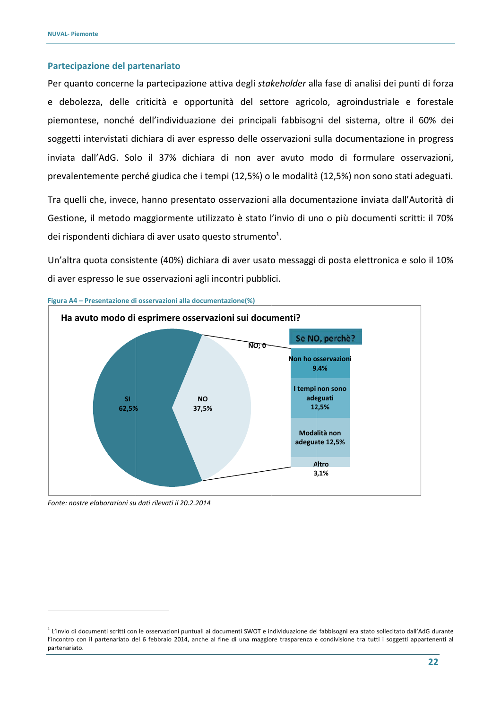## **Partecipaz zione del pa artenariato**

Per quanto concerne la partecipazione attiva degli stakeholder alla fase di analisi dei punti di forza e debolezza, delle criticità e opportunità del settore agricolo, agroindustriale e forestale piemontese, nonché dell'individuazione dei principali fabbisogni del sistema, oltre il 60% dei soggetti intervistati dichiara di aver espresso delle osservazioni sulla documentazione in progress inviata dall'AdG. Solo il 37% dichiara di non aver avuto modo di formulare osservazioni, prevalentemente perché giudica che i tempi (12,5%) o le modalità (12,5%) non sono stati adeguati. raeiss<br>deiss<br>in, ti. di<br>als

Tra quelli che, invece, hanno presentato osservazioni alla documentazione inviata dall'Autorità di Gestione, il metodo maggiormente utilizzato è stato l'invio di uno o più documenti scritti: il 70% dei rispondenti dichiara di aver usato questo strumento<sup>1</sup>.

Un'altra quota consistente (40%) dichiara di aver usato messaggi di posta elettronica e solo il 10% di aver espresso le sue osservazioni agli incontri pubblici.



**Figura A4 – Pr resentazione di i osservazioni a alla documenta azione(%)**

*Fonte: nostre e elaborazioni su u dati rilevati il 2 20.2.2014*

<sup>&</sup>lt;sup>1</sup> L'invio di documenti scritti con le osservazioni puntuali ai documenti SWOT e individuazione dei fabbisogni era stato sollecitato dall'AdG durante l'incontro con il partenariato del 6 febbraio 2014, anche al fine di una maggiore trasparenza e condivisione tra tutti i soggetti appartenenti al partenariato.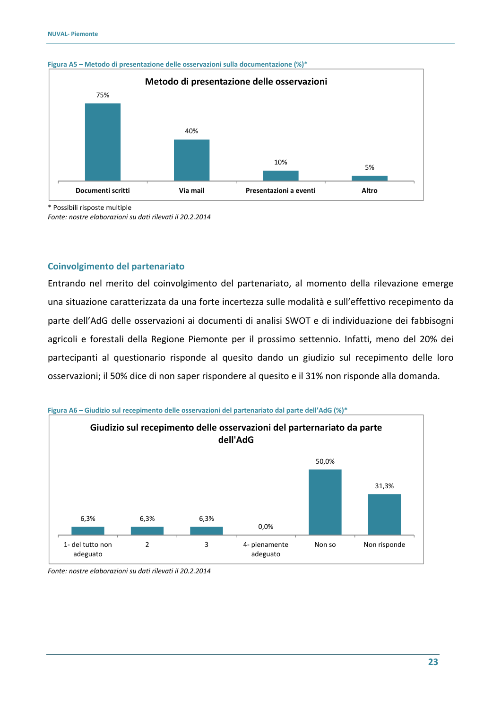

**Figura A5 – Metodo di presentazione delle osservazioni sulla documentazione (%)\***

\* Possibili risposte multiple

*Fonte: nostre elaborazioni su dati rilevati il 20.2.2014*

## **Coinvolgimento del partenariato**

Entrando nel merito del coinvolgimento del partenariato, al momento della rilevazione emerge una situazione caratterizzata da una forte incertezza sulle modalità e sull'effettivo recepimento da parte dell'AdG delle osservazioni ai documenti di analisi SWOT e di individuazione dei fabbisogni agricoli e forestali della Regione Piemonte per il prossimo settennio. Infatti, meno del 20% dei partecipanti al questionario risponde al quesito dando un giudizio sul recepimento delle loro osservazioni; il 50% dice di non saper rispondere al quesito e il 31% non risponde alla domanda.



## *Fonte: nostre elaborazioni su dati rilevati il 20.2.2014*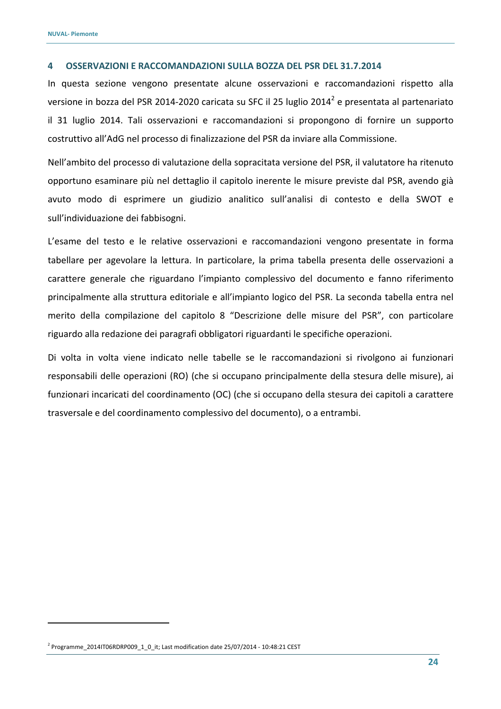### **4 OSSERVAZIONI E RACCOMANDAZIONI SULLA BOZZA DEL PSR DEL 31.7.2014**

In questa sezione vengono presentate alcune osservazioni e raccomandazioni rispetto alla versione in bozza del PSR 2014‐2020 caricata su SFC il 25 luglio 2014<sup>2</sup> e presentata al partenariato il 31 luglio 2014. Tali osservazioni e raccomandazioni si propongono di fornire un supporto costruttivo all'AdG nel processo di finalizzazione del PSR da inviare alla Commissione.

Nell'ambito del processo di valutazione della sopracitata versione del PSR, il valutatore ha ritenuto opportuno esaminare più nel dettaglio il capitolo inerente le misure previste dal PSR, avendo già avuto modo di esprimere un giudizio analitico sull'analisi di contesto e della SWOT e sull'individuazione dei fabbisogni.

L'esame del testo e le relative osservazioni e raccomandazioni vengono presentate in forma tabellare per agevolare la lettura. In particolare, la prima tabella presenta delle osservazioni a carattere generale che riguardano l'impianto complessivo del documento e fanno riferimento principalmente alla struttura editoriale e all'impianto logico del PSR. La seconda tabella entra nel merito della compilazione del capitolo 8 "Descrizione delle misure del PSR", con particolare riguardo alla redazione dei paragrafi obbligatori riguardanti le specifiche operazioni.

Di volta in volta viene indicato nelle tabelle se le raccomandazioni si rivolgono ai funzionari responsabili delle operazioni (RO) (che si occupano principalmente della stesura delle misure), ai funzionari incaricati del coordinamento (OC) (che si occupano della stesura dei capitoli a carattere trasversale e del coordinamento complessivo del documento), o a entrambi.

 $2^2$  Programme 2014IT06RDRP009 1 0 it; Last modification date 25/07/2014 - 10:48:21 CEST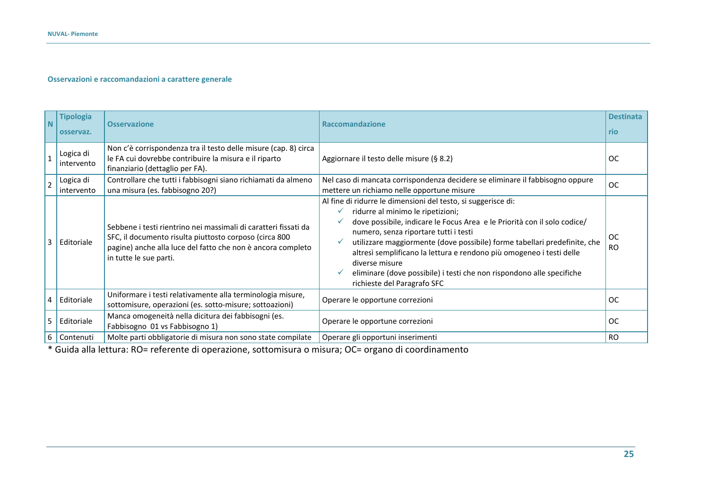### **Osservazioni e raccomandazioni <sup>a</sup> carattere generale**

| l N            | <b>Tipologia</b><br>osservaz. | <b>Osservazione</b>                                                                                                                                                                                                | Raccomandazione                                                                                                                                                                                                                                                                                                                                                                                                                                                                                        | <b>Destinata</b><br>rio |
|----------------|-------------------------------|--------------------------------------------------------------------------------------------------------------------------------------------------------------------------------------------------------------------|--------------------------------------------------------------------------------------------------------------------------------------------------------------------------------------------------------------------------------------------------------------------------------------------------------------------------------------------------------------------------------------------------------------------------------------------------------------------------------------------------------|-------------------------|
|                | Logica di<br>intervento       | Non c'è corrispondenza tra il testo delle misure (cap. 8) circa<br>le FA cui dovrebbe contribuire la misura e il riparto<br>finanziario (dettaglio per FA).                                                        | Aggiornare il testo delle misure (§ 8.2)                                                                                                                                                                                                                                                                                                                                                                                                                                                               | <sub>OC</sub>           |
| $\overline{2}$ | Logica di<br>intervento       | Controllare che tutti i fabbisogni siano richiamati da almeno<br>una misura (es. fabbisogno 20?)                                                                                                                   | Nel caso di mancata corrispondenza decidere se eliminare il fabbisogno oppure<br>mettere un richiamo nelle opportune misure                                                                                                                                                                                                                                                                                                                                                                            | <b>OC</b>               |
| $\overline{3}$ | Editoriale                    | Sebbene i testi rientrino nei massimali di caratteri fissati da<br>SFC, il documento risulta piuttosto corposo (circa 800<br>pagine) anche alla luce del fatto che non è ancora completo<br>in tutte le sue parti. | Al fine di ridurre le dimensioni del testo, si suggerisce di:<br>ridurre al minimo le ripetizioni;<br>dove possibile, indicare le Focus Area e le Priorità con il solo codice/<br>numero, senza riportare tutti i testi<br>utilizzare maggiormente (dove possibile) forme tabellari predefinite, che<br>altresì semplificano la lettura e rendono più omogeneo i testi delle<br>diverse misure<br>eliminare (dove possibile) i testi che non rispondono alle specifiche<br>richieste del Paragrafo SFC | <b>OC</b><br><b>RO</b>  |
|                | 4 Editoriale                  | Uniformare i testi relativamente alla terminologia misure,<br>sottomisure, operazioni (es. sotto-misure; sottoazioni)                                                                                              | Operare le opportune correzioni                                                                                                                                                                                                                                                                                                                                                                                                                                                                        | <b>OC</b>               |
| 5              | Editoriale                    | Manca omogeneità nella dicitura dei fabbisogni (es.<br>Fabbisogno 01 vs Fabbisogno 1)                                                                                                                              | Operare le opportune correzioni                                                                                                                                                                                                                                                                                                                                                                                                                                                                        | <b>OC</b>               |
| 6              | Contenuti                     | Molte parti obbligatorie di misura non sono state compilate                                                                                                                                                        | Operare gli opportuni inserimenti                                                                                                                                                                                                                                                                                                                                                                                                                                                                      | <b>RO</b>               |

\* Guida alla lettura: RO= referente di operazione, sottomisura <sup>o</sup> misura; OC= organo di coordinamento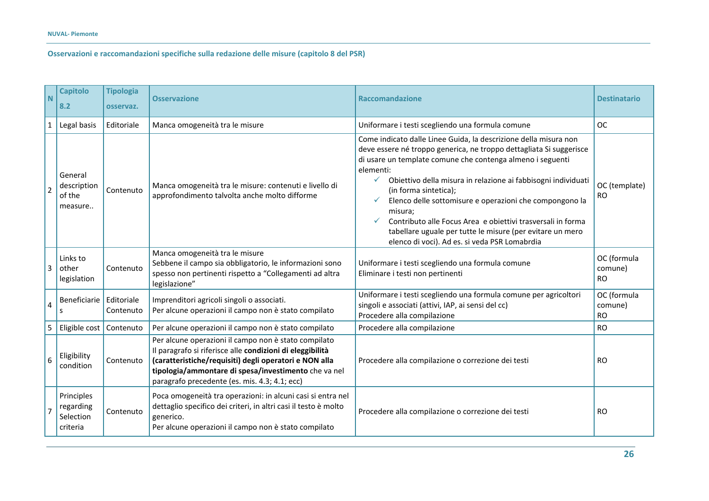### **Osservazioni e raccomandazioni specifiche sulla redazione delle misure (capitolo 8 del PSR)**

| N              | <b>Capitolo</b><br>8.2                           | <b>Tipologia</b><br>osservaz. | <b>Osservazione</b>                                                                                                                                                                                                                                                                  | <b>Raccomandazione</b>                                                                                                                                                                                                                                                                                                                                                                                                                                                                                                                                                          | <b>Destinatario</b>                 |
|----------------|--------------------------------------------------|-------------------------------|--------------------------------------------------------------------------------------------------------------------------------------------------------------------------------------------------------------------------------------------------------------------------------------|---------------------------------------------------------------------------------------------------------------------------------------------------------------------------------------------------------------------------------------------------------------------------------------------------------------------------------------------------------------------------------------------------------------------------------------------------------------------------------------------------------------------------------------------------------------------------------|-------------------------------------|
| $\mathbf{1}$   | Legal basis                                      | Editoriale                    | Manca omogeneità tra le misure                                                                                                                                                                                                                                                       | Uniformare i testi scegliendo una formula comune                                                                                                                                                                                                                                                                                                                                                                                                                                                                                                                                | <b>OC</b>                           |
| 2              | General<br>description<br>of the<br>measure      | Contenuto                     | Manca omogeneità tra le misure: contenuti e livello di<br>approfondimento talvolta anche molto difforme                                                                                                                                                                              | Come indicato dalle Linee Guida, la descrizione della misura non<br>deve essere né troppo generica, ne troppo dettagliata Si suggerisce<br>di usare un template comune che contenga almeno i seguenti<br>elementi:<br>$\checkmark$<br>Obiettivo della misura in relazione ai fabbisogni individuati<br>(in forma sintetica);<br>Elenco delle sottomisure e operazioni che compongono la<br>misura;<br>Contributo alle Focus Area e obiettivi trasversali in forma<br>tabellare uguale per tutte le misure (per evitare un mero<br>elenco di voci). Ad es. si veda PSR Lomabrdia | OC (template)<br><b>RO</b>          |
| $\overline{3}$ | Links to<br>other<br>legislation                 | Contenuto                     | Manca omogeneità tra le misure<br>Sebbene il campo sia obbligatorio, le informazioni sono<br>spesso non pertinenti rispetto a "Collegamenti ad altra<br>legislazione"                                                                                                                | Uniformare i testi scegliendo una formula comune<br>Eliminare i testi non pertinenti                                                                                                                                                                                                                                                                                                                                                                                                                                                                                            | OC (formula<br>comune)<br><b>RO</b> |
| $\overline{4}$ | Beneficiarie<br>S                                | Editoriale<br>Contenuto       | Imprenditori agricoli singoli o associati.<br>Per alcune operazioni il campo non è stato compilato                                                                                                                                                                                   | Uniformare i testi scegliendo una formula comune per agricoltori<br>singoli e associati (attivi, IAP, ai sensi del cc)<br>Procedere alla compilazione                                                                                                                                                                                                                                                                                                                                                                                                                           | OC (formula<br>comune)<br><b>RO</b> |
| 5              | Eligible cost                                    | Contenuto                     | Per alcune operazioni il campo non è stato compilato                                                                                                                                                                                                                                 | Procedere alla compilazione                                                                                                                                                                                                                                                                                                                                                                                                                                                                                                                                                     | <b>RO</b>                           |
| 6              | Eligibility<br>condition                         | Contenuto                     | Per alcune operazioni il campo non è stato compilato<br>Il paragrafo si riferisce alle condizioni di eleggibilità<br>(caratteristiche/requisiti) degli operatori e NON alla<br>tipologia/ammontare di spesa/investimento che va nel<br>paragrafo precedente (es. mis. 4.3; 4.1; ecc) | Procedere alla compilazione o correzione dei testi                                                                                                                                                                                                                                                                                                                                                                                                                                                                                                                              | <b>RO</b>                           |
| $\overline{7}$ | Principles<br>regarding<br>Selection<br>criteria | Contenuto                     | Poca omogeneità tra operazioni: in alcuni casi si entra nel<br>dettaglio specifico dei criteri, in altri casi il testo è molto<br>generico.<br>Per alcune operazioni il campo non è stato compilato                                                                                  | Procedere alla compilazione o correzione dei testi                                                                                                                                                                                                                                                                                                                                                                                                                                                                                                                              | <b>RO</b>                           |